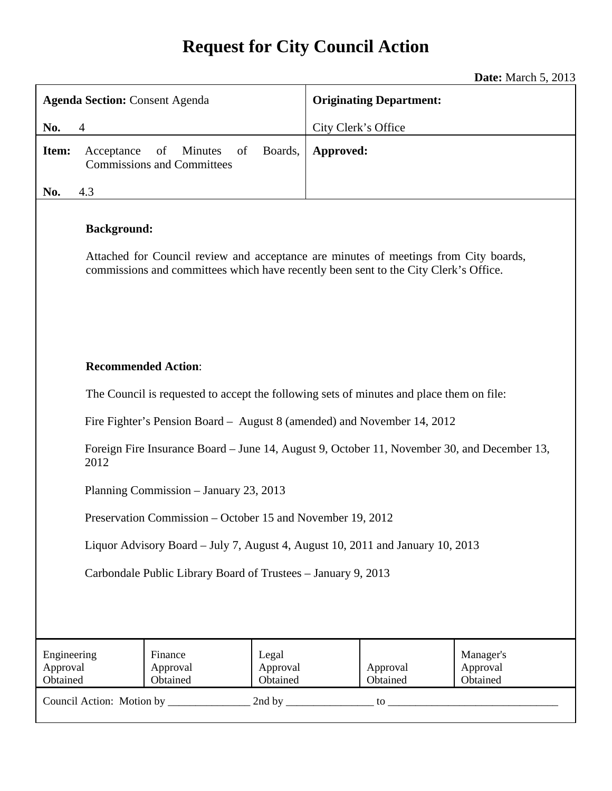# **Request for City Council Action**

**Date:** March 5, 2013

| <b>Agenda Section: Consent Agenda</b>                                                                                                                                                              |                                                          |                               | <b>Originating Department:</b> |                      |                                   |  |
|----------------------------------------------------------------------------------------------------------------------------------------------------------------------------------------------------|----------------------------------------------------------|-------------------------------|--------------------------------|----------------------|-----------------------------------|--|
| No.<br>$\overline{4}$                                                                                                                                                                              |                                                          | City Clerk's Office           |                                |                      |                                   |  |
| Item:<br>Acceptance                                                                                                                                                                                | of<br>of<br>Minutes<br><b>Commissions and Committees</b> | Boards,                       | Approved:                      |                      |                                   |  |
| 4.3<br>No.                                                                                                                                                                                         |                                                          |                               |                                |                      |                                   |  |
| <b>Background:</b><br>Attached for Council review and acceptance are minutes of meetings from City boards,<br>commissions and committees which have recently been sent to the City Clerk's Office. |                                                          |                               |                                |                      |                                   |  |
| <b>Recommended Action:</b>                                                                                                                                                                         |                                                          |                               |                                |                      |                                   |  |
| The Council is requested to accept the following sets of minutes and place them on file:                                                                                                           |                                                          |                               |                                |                      |                                   |  |
| Fire Fighter's Pension Board – August 8 (amended) and November 14, 2012                                                                                                                            |                                                          |                               |                                |                      |                                   |  |
| Foreign Fire Insurance Board – June 14, August 9, October 11, November 30, and December 13,<br>2012                                                                                                |                                                          |                               |                                |                      |                                   |  |
| Planning Commission - January 23, 2013                                                                                                                                                             |                                                          |                               |                                |                      |                                   |  |
| Preservation Commission – October 15 and November 19, 2012                                                                                                                                         |                                                          |                               |                                |                      |                                   |  |
| Liquor Advisory Board – July 7, August 4, August 10, 2011 and January 10, 2013                                                                                                                     |                                                          |                               |                                |                      |                                   |  |
| Carbondale Public Library Board of Trustees - January 9, 2013                                                                                                                                      |                                                          |                               |                                |                      |                                   |  |
|                                                                                                                                                                                                    |                                                          |                               |                                |                      |                                   |  |
| Engineering<br>Approval<br>Obtained                                                                                                                                                                | Finance<br>Approval<br>Obtained                          | Legal<br>Approval<br>Obtained |                                | Approval<br>Obtained | Manager's<br>Approval<br>Obtained |  |
|                                                                                                                                                                                                    |                                                          |                               |                                |                      |                                   |  |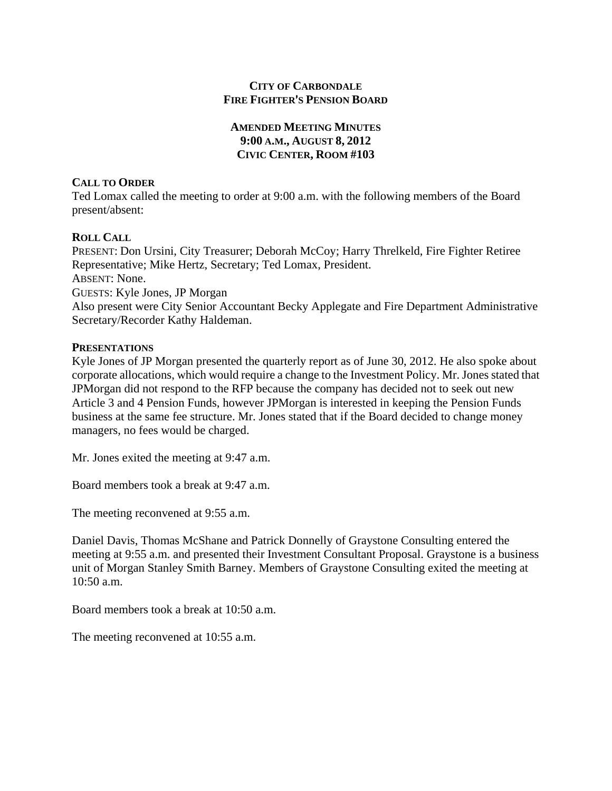### **CITY OF CARBONDALE FIRE FIGHTER'S PENSION BOARD**

### **AMENDED MEETING MINUTES 9:00 A.M., AUGUST 8, 2012 CIVIC CENTER, ROOM #103**

### **CALL TO ORDER**

Ted Lomax called the meeting to order at 9:00 a.m. with the following members of the Board present/absent:

### **ROLL CALL**

PRESENT: Don Ursini, City Treasurer; Deborah McCoy; Harry Threlkeld, Fire Fighter Retiree Representative; Mike Hertz, Secretary; Ted Lomax, President. ABSENT: None. GUESTS: Kyle Jones, JP Morgan Also present were City Senior Accountant Becky Applegate and Fire Department Administrative Secretary/Recorder Kathy Haldeman.

### **PRESENTATIONS**

Kyle Jones of JP Morgan presented the quarterly report as of June 30, 2012. He also spoke about corporate allocations, which would require a change to the Investment Policy. Mr. Jones stated that JPMorgan did not respond to the RFP because the company has decided not to seek out new Article 3 and 4 Pension Funds, however JPMorgan is interested in keeping the Pension Funds business at the same fee structure. Mr. Jones stated that if the Board decided to change money managers, no fees would be charged.

Mr. Jones exited the meeting at 9:47 a.m.

Board members took a break at 9:47 a.m.

The meeting reconvened at 9:55 a.m.

Daniel Davis, Thomas McShane and Patrick Donnelly of Graystone Consulting entered the meeting at 9:55 a.m. and presented their Investment Consultant Proposal. Graystone is a business unit of Morgan Stanley Smith Barney. Members of Graystone Consulting exited the meeting at 10:50 a.m.

Board members took a break at 10:50 a.m.

The meeting reconvened at 10:55 a.m.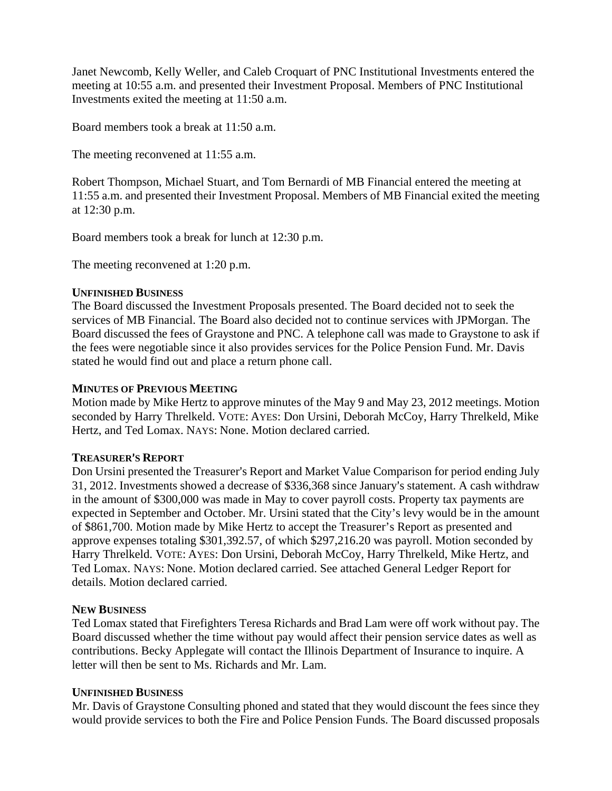Janet Newcomb, Kelly Weller, and Caleb Croquart of PNC Institutional Investments entered the meeting at 10:55 a.m. and presented their Investment Proposal. Members of PNC Institutional Investments exited the meeting at 11:50 a.m.

Board members took a break at 11:50 a.m.

The meeting reconvened at 11:55 a.m.

Robert Thompson, Michael Stuart, and Tom Bernardi of MB Financial entered the meeting at 11:55 a.m. and presented their Investment Proposal. Members of MB Financial exited the meeting at 12:30 p.m.

Board members took a break for lunch at 12:30 p.m.

The meeting reconvened at 1:20 p.m.

### **UNFINISHED BUSINESS**

The Board discussed the Investment Proposals presented. The Board decided not to seek the services of MB Financial. The Board also decided not to continue services with JPMorgan. The Board discussed the fees of Graystone and PNC. A telephone call was made to Graystone to ask if the fees were negotiable since it also provides services for the Police Pension Fund. Mr. Davis stated he would find out and place a return phone call.

### **MINUTES OF PREVIOUS MEETING**

Motion made by Mike Hertz to approve minutes of the May 9 and May 23, 2012 meetings. Motion seconded by Harry Threlkeld. VOTE: AYES: Don Ursini, Deborah McCoy, Harry Threlkeld, Mike Hertz, and Ted Lomax. NAYS: None. Motion declared carried.

### **TREASURER**=**S REPORT**

Don Ursini presented the Treasurer's Report and Market Value Comparison for period ending July 31, 2012. Investments showed a decrease of \$336,368 since January's statement. A cash withdraw in the amount of \$300,000 was made in May to cover payroll costs. Property tax payments are expected in September and October. Mr. Ursini stated that the City's levy would be in the amount of \$861,700. Motion made by Mike Hertz to accept the Treasurer's Report as presented and approve expenses totaling \$301,392.57, of which \$297,216.20 was payroll. Motion seconded by Harry Threlkeld. VOTE: AYES: Don Ursini, Deborah McCoy, Harry Threlkeld, Mike Hertz, and Ted Lomax. NAYS: None. Motion declared carried. See attached General Ledger Report for details. Motion declared carried.

### **NEW BUSINESS**

Ted Lomax stated that Firefighters Teresa Richards and Brad Lam were off work without pay. The Board discussed whether the time without pay would affect their pension service dates as well as contributions. Becky Applegate will contact the Illinois Department of Insurance to inquire. A letter will then be sent to Ms. Richards and Mr. Lam.

### **UNFINISHED BUSINESS**

Mr. Davis of Graystone Consulting phoned and stated that they would discount the fees since they would provide services to both the Fire and Police Pension Funds. The Board discussed proposals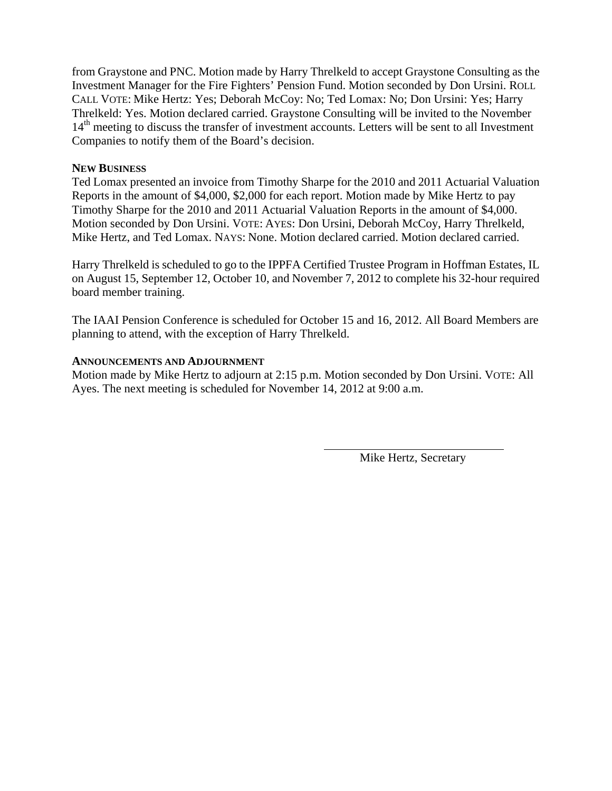from Graystone and PNC. Motion made by Harry Threlkeld to accept Graystone Consulting as the Investment Manager for the Fire Fighters' Pension Fund. Motion seconded by Don Ursini. ROLL CALL VOTE: Mike Hertz: Yes; Deborah McCoy: No; Ted Lomax: No; Don Ursini: Yes; Harry Threlkeld: Yes. Motion declared carried. Graystone Consulting will be invited to the November 14<sup>th</sup> meeting to discuss the transfer of investment accounts. Letters will be sent to all Investment Companies to notify them of the Board's decision.

### **NEW BUSINESS**

Ted Lomax presented an invoice from Timothy Sharpe for the 2010 and 2011 Actuarial Valuation Reports in the amount of \$4,000, \$2,000 for each report. Motion made by Mike Hertz to pay Timothy Sharpe for the 2010 and 2011 Actuarial Valuation Reports in the amount of \$4,000. Motion seconded by Don Ursini. VOTE: AYES: Don Ursini, Deborah McCoy, Harry Threlkeld, Mike Hertz, and Ted Lomax. NAYS: None. Motion declared carried. Motion declared carried.

Harry Threlkeld is scheduled to go to the IPPFA Certified Trustee Program in Hoffman Estates, IL on August 15, September 12, October 10, and November 7, 2012 to complete his 32-hour required board member training.

The IAAI Pension Conference is scheduled for October 15 and 16, 2012. All Board Members are planning to attend, with the exception of Harry Threlkeld.

#### **ANNOUNCEMENTS AND ADJOURNMENT**

Motion made by Mike Hertz to adjourn at 2:15 p.m. Motion seconded by Don Ursini. VOTE: All Ayes. The next meeting is scheduled for November 14, 2012 at 9:00 a.m.

Mike Hertz, Secretary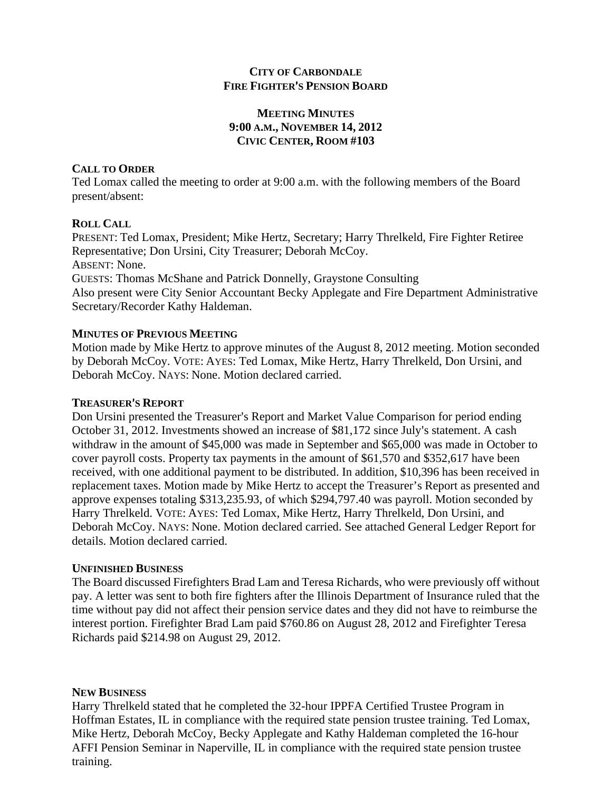### **CITY OF CARBONDALE FIRE FIGHTER'S PENSION BOARD**

### **MEETING MINUTES 9:00 A.M., NOVEMBER 14, 2012 CIVIC CENTER, ROOM #103**

### **CALL TO ORDER**

Ted Lomax called the meeting to order at 9:00 a.m. with the following members of the Board present/absent:

### **ROLL CALL**

PRESENT: Ted Lomax, President; Mike Hertz, Secretary; Harry Threlkeld, Fire Fighter Retiree Representative; Don Ursini, City Treasurer; Deborah McCoy. ABSENT: None. GUESTS: Thomas McShane and Patrick Donnelly, Graystone Consulting Also present were City Senior Accountant Becky Applegate and Fire Department Administrative Secretary/Recorder Kathy Haldeman.

### **MINUTES OF PREVIOUS MEETING**

Motion made by Mike Hertz to approve minutes of the August 8, 2012 meeting. Motion seconded by Deborah McCoy. VOTE: AYES: Ted Lomax, Mike Hertz, Harry Threlkeld, Don Ursini, and Deborah McCoy. NAYS: None. Motion declared carried.

### **TREASURER**=**S REPORT**

Don Ursini presented the Treasurer's Report and Market Value Comparison for period ending October 31, 2012. Investments showed an increase of \$81,172 since July's statement. A cash withdraw in the amount of \$45,000 was made in September and \$65,000 was made in October to cover payroll costs. Property tax payments in the amount of \$61,570 and \$352,617 have been received, with one additional payment to be distributed. In addition, \$10,396 has been received in replacement taxes. Motion made by Mike Hertz to accept the Treasurer's Report as presented and approve expenses totaling \$313,235.93, of which \$294,797.40 was payroll. Motion seconded by Harry Threlkeld. VOTE: AYES: Ted Lomax, Mike Hertz, Harry Threlkeld, Don Ursini, and Deborah McCoy. NAYS: None. Motion declared carried. See attached General Ledger Report for details. Motion declared carried.

### **UNFINISHED BUSINESS**

The Board discussed Firefighters Brad Lam and Teresa Richards, who were previously off without pay. A letter was sent to both fire fighters after the Illinois Department of Insurance ruled that the time without pay did not affect their pension service dates and they did not have to reimburse the interest portion. Firefighter Brad Lam paid \$760.86 on August 28, 2012 and Firefighter Teresa Richards paid \$214.98 on August 29, 2012.

### **NEW BUSINESS**

Harry Threlkeld stated that he completed the 32-hour IPPFA Certified Trustee Program in Hoffman Estates, IL in compliance with the required state pension trustee training. Ted Lomax, Mike Hertz, Deborah McCoy, Becky Applegate and Kathy Haldeman completed the 16-hour AFFI Pension Seminar in Naperville, IL in compliance with the required state pension trustee training.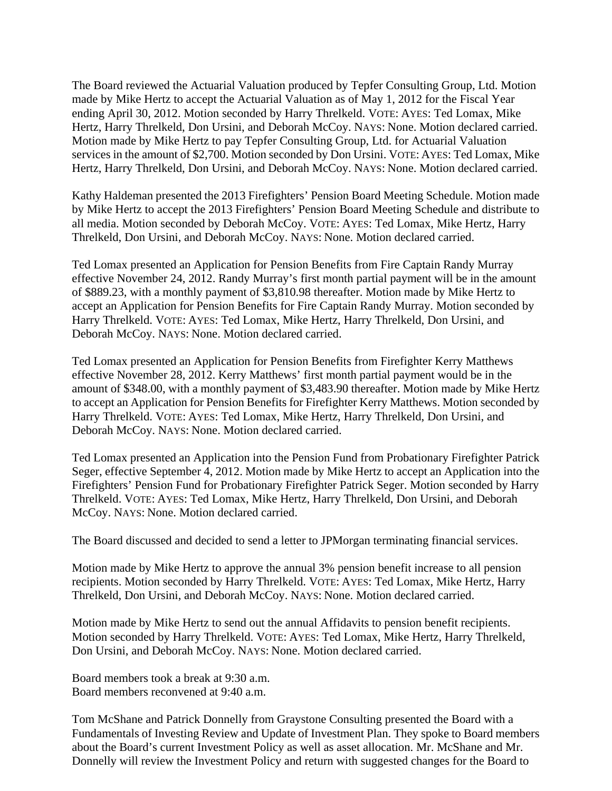The Board reviewed the Actuarial Valuation produced by Tepfer Consulting Group, Ltd. Motion made by Mike Hertz to accept the Actuarial Valuation as of May 1, 2012 for the Fiscal Year ending April 30, 2012. Motion seconded by Harry Threlkeld. VOTE: AYES: Ted Lomax, Mike Hertz, Harry Threlkeld, Don Ursini, and Deborah McCoy. NAYS: None. Motion declared carried. Motion made by Mike Hertz to pay Tepfer Consulting Group, Ltd. for Actuarial Valuation services in the amount of \$2,700. Motion seconded by Don Ursini. VOTE: AYES: Ted Lomax, Mike Hertz, Harry Threlkeld, Don Ursini, and Deborah McCoy. NAYS: None. Motion declared carried.

Kathy Haldeman presented the 2013 Firefighters' Pension Board Meeting Schedule. Motion made by Mike Hertz to accept the 2013 Firefighters' Pension Board Meeting Schedule and distribute to all media. Motion seconded by Deborah McCoy. VOTE: AYES: Ted Lomax, Mike Hertz, Harry Threlkeld, Don Ursini, and Deborah McCoy. NAYS: None. Motion declared carried.

Ted Lomax presented an Application for Pension Benefits from Fire Captain Randy Murray effective November 24, 2012. Randy Murray's first month partial payment will be in the amount of \$889.23, with a monthly payment of \$3,810.98 thereafter. Motion made by Mike Hertz to accept an Application for Pension Benefits for Fire Captain Randy Murray. Motion seconded by Harry Threlkeld. VOTE: AYES: Ted Lomax, Mike Hertz, Harry Threlkeld, Don Ursini, and Deborah McCoy. NAYS: None. Motion declared carried.

Ted Lomax presented an Application for Pension Benefits from Firefighter Kerry Matthews effective November 28, 2012. Kerry Matthews' first month partial payment would be in the amount of \$348.00, with a monthly payment of \$3,483.90 thereafter. Motion made by Mike Hertz to accept an Application for Pension Benefits for Firefighter Kerry Matthews. Motion seconded by Harry Threlkeld. VOTE: AYES: Ted Lomax, Mike Hertz, Harry Threlkeld, Don Ursini, and Deborah McCoy. NAYS: None. Motion declared carried.

Ted Lomax presented an Application into the Pension Fund from Probationary Firefighter Patrick Seger, effective September 4, 2012. Motion made by Mike Hertz to accept an Application into the Firefighters' Pension Fund for Probationary Firefighter Patrick Seger. Motion seconded by Harry Threlkeld. VOTE: AYES: Ted Lomax, Mike Hertz, Harry Threlkeld, Don Ursini, and Deborah McCoy. NAYS: None. Motion declared carried.

The Board discussed and decided to send a letter to JPMorgan terminating financial services.

Motion made by Mike Hertz to approve the annual 3% pension benefit increase to all pension recipients. Motion seconded by Harry Threlkeld. VOTE: AYES: Ted Lomax, Mike Hertz, Harry Threlkeld, Don Ursini, and Deborah McCoy. NAYS: None. Motion declared carried.

Motion made by Mike Hertz to send out the annual Affidavits to pension benefit recipients. Motion seconded by Harry Threlkeld. VOTE: AYES: Ted Lomax, Mike Hertz, Harry Threlkeld, Don Ursini, and Deborah McCoy. NAYS: None. Motion declared carried.

Board members took a break at 9:30 a.m. Board members reconvened at 9:40 a.m.

Tom McShane and Patrick Donnelly from Graystone Consulting presented the Board with a Fundamentals of Investing Review and Update of Investment Plan. They spoke to Board members about the Board's current Investment Policy as well as asset allocation. Mr. McShane and Mr. Donnelly will review the Investment Policy and return with suggested changes for the Board to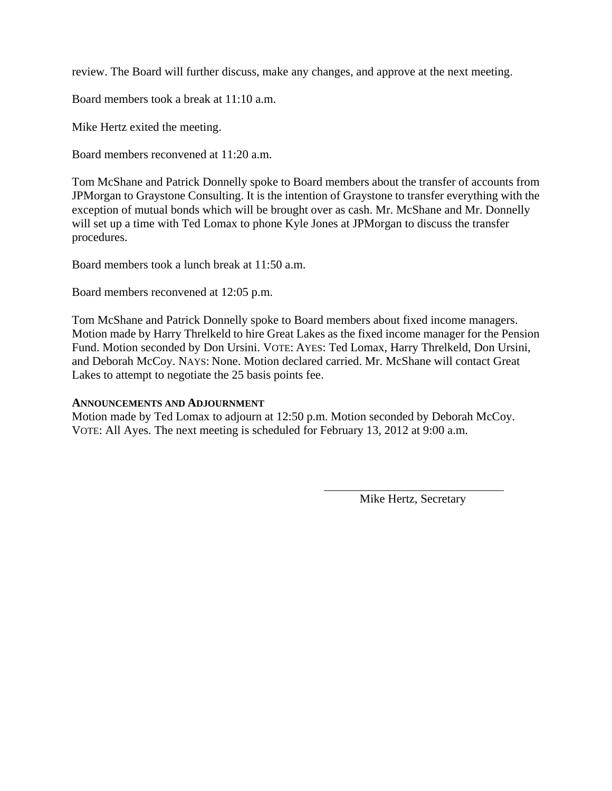review. The Board will further discuss, make any changes, and approve at the next meeting.

Board members took a break at 11:10 a.m.

Mike Hertz exited the meeting.

Board members reconvened at 11:20 a.m.

Tom McShane and Patrick Donnelly spoke to Board members about the transfer of accounts from JPMorgan to Graystone Consulting. It is the intention of Graystone to transfer everything with the exception of mutual bonds which will be brought over as cash. Mr. McShane and Mr. Donnelly will set up a time with Ted Lomax to phone Kyle Jones at JPMorgan to discuss the transfer procedures.

Board members took a lunch break at 11:50 a.m.

Board members reconvened at 12:05 p.m.

Tom McShane and Patrick Donnelly spoke to Board members about fixed income managers. Motion made by Harry Threlkeld to hire Great Lakes as the fixed income manager for the Pension Fund. Motion seconded by Don Ursini. VOTE: AYES: Ted Lomax, Harry Threlkeld, Don Ursini, and Deborah McCoy. NAYS: None. Motion declared carried. Mr. McShane will contact Great Lakes to attempt to negotiate the 25 basis points fee.

### **ANNOUNCEMENTS AND ADJOURNMENT**

Motion made by Ted Lomax to adjourn at 12:50 p.m. Motion seconded by Deborah McCoy. VOTE: All Ayes. The next meeting is scheduled for February 13, 2012 at 9:00 a.m.

Mike Hertz, Secretary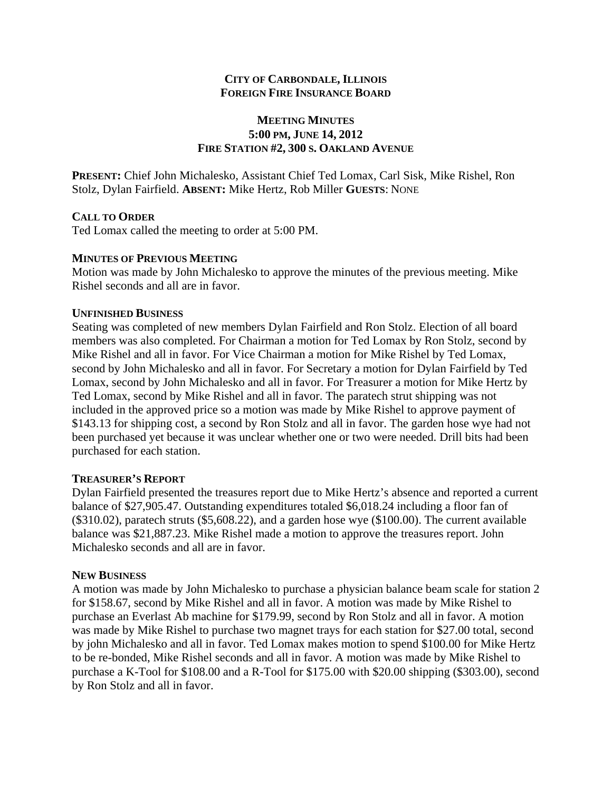### **MEETING MINUTES 5:00 PM, JUNE 14, 2012 FIRE STATION #2, 300 S. OAKLAND AVENUE**

**PRESENT:** Chief John Michalesko, Assistant Chief Ted Lomax, Carl Sisk, Mike Rishel, Ron Stolz, Dylan Fairfield. **ABSENT:** Mike Hertz, Rob Miller **GUESTS**: NONE

### **CALL TO ORDER**

Ted Lomax called the meeting to order at 5:00 PM.

### **MINUTES OF PREVIOUS MEETING**

Motion was made by John Michalesko to approve the minutes of the previous meeting. Mike Rishel seconds and all are in favor.

#### **UNFINISHED BUSINESS**

Seating was completed of new members Dylan Fairfield and Ron Stolz. Election of all board members was also completed. For Chairman a motion for Ted Lomax by Ron Stolz, second by Mike Rishel and all in favor. For Vice Chairman a motion for Mike Rishel by Ted Lomax, second by John Michalesko and all in favor. For Secretary a motion for Dylan Fairfield by Ted Lomax, second by John Michalesko and all in favor. For Treasurer a motion for Mike Hertz by Ted Lomax, second by Mike Rishel and all in favor. The paratech strut shipping was not included in the approved price so a motion was made by Mike Rishel to approve payment of \$143.13 for shipping cost, a second by Ron Stolz and all in favor. The garden hose wye had not been purchased yet because it was unclear whether one or two were needed. Drill bits had been purchased for each station.

#### **TREASURER'S REPORT**

Dylan Fairfield presented the treasures report due to Mike Hertz's absence and reported a current balance of \$27,905.47. Outstanding expenditures totaled \$6,018.24 including a floor fan of (\$310.02), paratech struts (\$5,608.22), and a garden hose wye (\$100.00). The current available balance was \$21,887.23. Mike Rishel made a motion to approve the treasures report. John Michalesko seconds and all are in favor.

### **NEW BUSINESS**

A motion was made by John Michalesko to purchase a physician balance beam scale for station 2 for \$158.67, second by Mike Rishel and all in favor. A motion was made by Mike Rishel to purchase an Everlast Ab machine for \$179.99, second by Ron Stolz and all in favor. A motion was made by Mike Rishel to purchase two magnet trays for each station for \$27.00 total, second by john Michalesko and all in favor. Ted Lomax makes motion to spend \$100.00 for Mike Hertz to be re-bonded, Mike Rishel seconds and all in favor. A motion was made by Mike Rishel to purchase a K-Tool for \$108.00 and a R-Tool for \$175.00 with \$20.00 shipping (\$303.00), second by Ron Stolz and all in favor.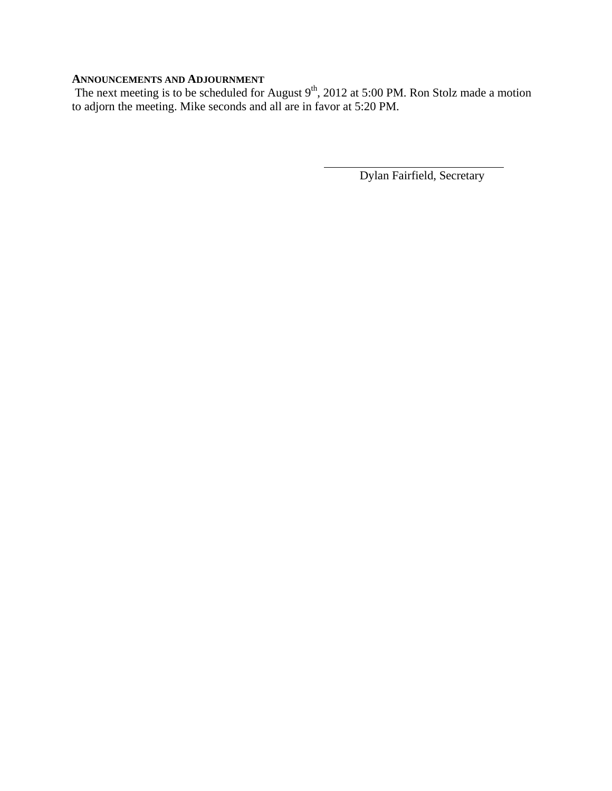#### **ANNOUNCEMENTS AND ADJOURNMENT**

The next meeting is to be scheduled for August  $9<sup>th</sup>$ , 2012 at 5:00 PM. Ron Stolz made a motion to adjorn the meeting. Mike seconds and all are in favor at 5:20 PM.

Dylan Fairfield, Secretary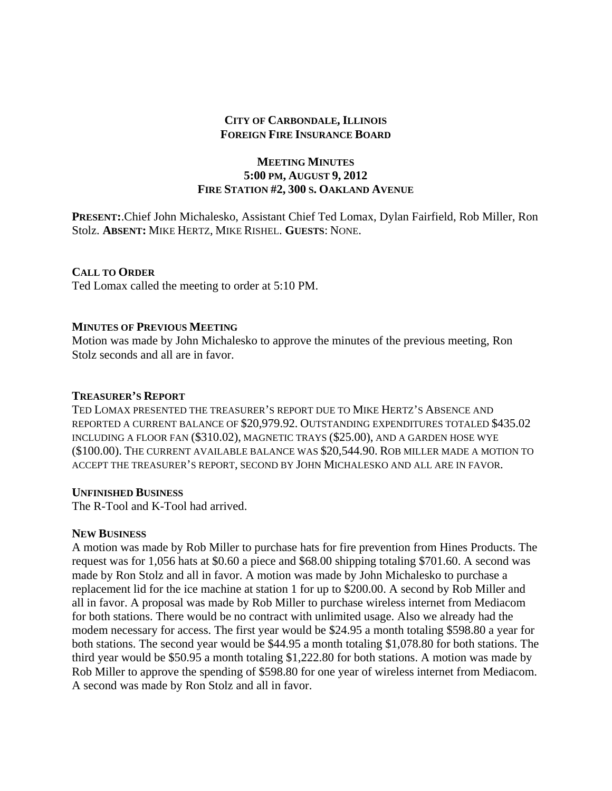### **MEETING MINUTES 5:00 PM, AUGUST 9, 2012 FIRE STATION #2, 300 S. OAKLAND AVENUE**

**PRESENT:**.Chief John Michalesko, Assistant Chief Ted Lomax, Dylan Fairfield, Rob Miller, Ron Stolz. **ABSENT:** MIKE HERTZ, MIKE RISHEL. **GUESTS**: NONE.

### **CALL TO ORDER**

Ted Lomax called the meeting to order at 5:10 PM.

### **MINUTES OF PREVIOUS MEETING**

Motion was made by John Michalesko to approve the minutes of the previous meeting, Ron Stolz seconds and all are in favor.

#### **TREASURER'S REPORT**

TED LOMAX PRESENTED THE TREASURER'S REPORT DUE TO MIKE HERTZ'S ABSENCE AND REPORTED A CURRENT BALANCE OF \$20,979.92. OUTSTANDING EXPENDITURES TOTALED \$435.02 INCLUDING A FLOOR FAN (\$310.02), MAGNETIC TRAYS (\$25.00), AND A GARDEN HOSE WYE (\$100.00). THE CURRENT AVAILABLE BALANCE WAS \$20,544.90. ROB MILLER MADE A MOTION TO ACCEPT THE TREASURER'S REPORT, SECOND BY JOHN MICHALESKO AND ALL ARE IN FAVOR.

### **UNFINISHED BUSINESS**

The R-Tool and K-Tool had arrived.

### **NEW BUSINESS**

A motion was made by Rob Miller to purchase hats for fire prevention from Hines Products. The request was for 1,056 hats at \$0.60 a piece and \$68.00 shipping totaling \$701.60. A second was made by Ron Stolz and all in favor. A motion was made by John Michalesko to purchase a replacement lid for the ice machine at station 1 for up to \$200.00. A second by Rob Miller and all in favor. A proposal was made by Rob Miller to purchase wireless internet from Mediacom for both stations. There would be no contract with unlimited usage. Also we already had the modem necessary for access. The first year would be \$24.95 a month totaling \$598.80 a year for both stations. The second year would be \$44.95 a month totaling \$1,078.80 for both stations. The third year would be \$50.95 a month totaling \$1,222.80 for both stations. A motion was made by Rob Miller to approve the spending of \$598.80 for one year of wireless internet from Mediacom. A second was made by Ron Stolz and all in favor.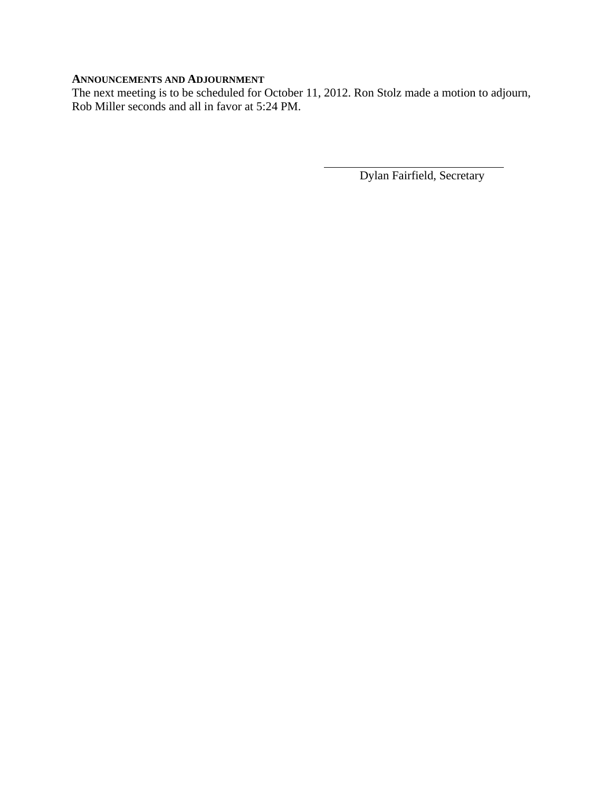### **ANNOUNCEMENTS AND ADJOURNMENT**

The next meeting is to be scheduled for October 11, 2012. Ron Stolz made a motion to adjourn, Rob Miller seconds and all in favor at 5:24 PM.

Dylan Fairfield, Secretary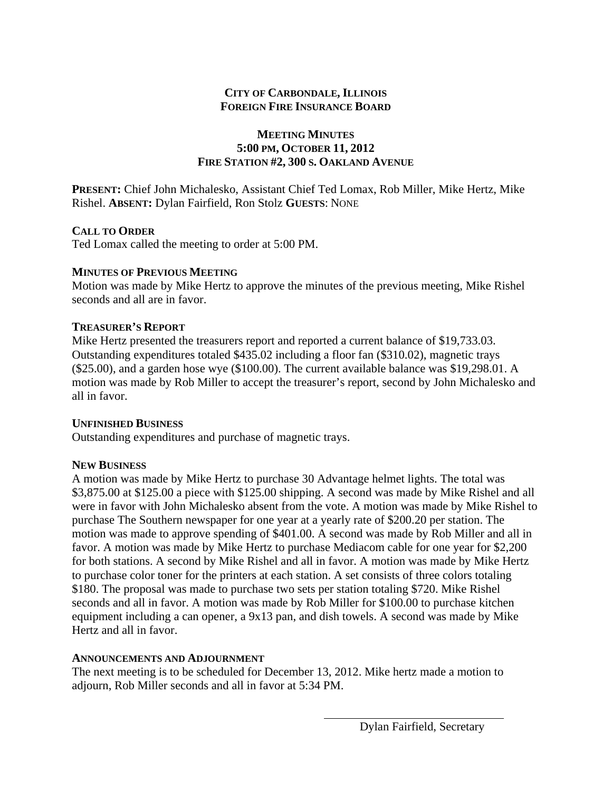### **MEETING MINUTES 5:00 PM, OCTOBER 11, 2012 FIRE STATION #2, 300 S. OAKLAND AVENUE**

**PRESENT:** Chief John Michalesko, Assistant Chief Ted Lomax, Rob Miller, Mike Hertz, Mike Rishel. **ABSENT:** Dylan Fairfield, Ron Stolz **GUESTS**: NONE

### **CALL TO ORDER**

Ted Lomax called the meeting to order at 5:00 PM.

### **MINUTES OF PREVIOUS MEETING**

Motion was made by Mike Hertz to approve the minutes of the previous meeting, Mike Rishel seconds and all are in favor.

### **TREASURER'S REPORT**

Mike Hertz presented the treasurers report and reported a current balance of \$19,733.03. Outstanding expenditures totaled \$435.02 including a floor fan (\$310.02), magnetic trays (\$25.00), and a garden hose wye (\$100.00). The current available balance was \$19,298.01. A motion was made by Rob Miller to accept the treasurer's report, second by John Michalesko and all in favor.

### **UNFINISHED BUSINESS**

Outstanding expenditures and purchase of magnetic trays.

### **NEW BUSINESS**

A motion was made by Mike Hertz to purchase 30 Advantage helmet lights. The total was \$3,875.00 at \$125.00 a piece with \$125.00 shipping. A second was made by Mike Rishel and all were in favor with John Michalesko absent from the vote. A motion was made by Mike Rishel to purchase The Southern newspaper for one year at a yearly rate of \$200.20 per station. The motion was made to approve spending of \$401.00. A second was made by Rob Miller and all in favor. A motion was made by Mike Hertz to purchase Mediacom cable for one year for \$2,200 for both stations. A second by Mike Rishel and all in favor. A motion was made by Mike Hertz to purchase color toner for the printers at each station. A set consists of three colors totaling \$180. The proposal was made to purchase two sets per station totaling \$720. Mike Rishel seconds and all in favor. A motion was made by Rob Miller for \$100.00 to purchase kitchen equipment including a can opener, a 9x13 pan, and dish towels. A second was made by Mike Hertz and all in favor.

### **ANNOUNCEMENTS AND ADJOURNMENT**

The next meeting is to be scheduled for December 13, 2012. Mike hertz made a motion to adjourn, Rob Miller seconds and all in favor at 5:34 PM.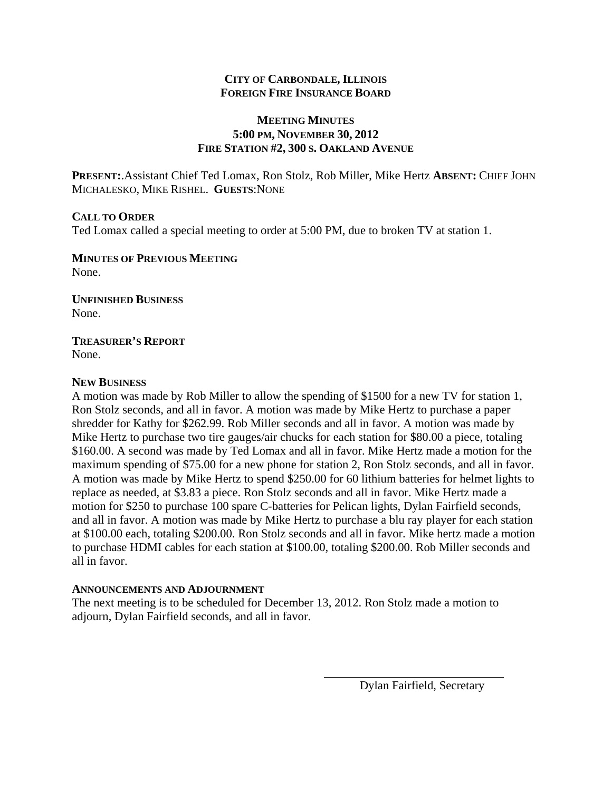### **MEETING MINUTES 5:00 PM, NOVEMBER 30, 2012 FIRE STATION #2, 300 S. OAKLAND AVENUE**

**PRESENT:**.Assistant Chief Ted Lomax, Ron Stolz, Rob Miller, Mike Hertz **ABSENT:** CHIEF JOHN MICHALESKO, MIKE RISHEL. **GUESTS**:NONE

### **CALL TO ORDER**

Ted Lomax called a special meeting to order at 5:00 PM, due to broken TV at station 1.

**MINUTES OF PREVIOUS MEETING** None.

**UNFINISHED BUSINESS** None.

**TREASURER'S REPORT** None.

#### **NEW BUSINESS**

A motion was made by Rob Miller to allow the spending of \$1500 for a new TV for station 1, Ron Stolz seconds, and all in favor. A motion was made by Mike Hertz to purchase a paper shredder for Kathy for \$262.99. Rob Miller seconds and all in favor. A motion was made by Mike Hertz to purchase two tire gauges/air chucks for each station for \$80.00 a piece, totaling \$160.00. A second was made by Ted Lomax and all in favor. Mike Hertz made a motion for the maximum spending of \$75.00 for a new phone for station 2, Ron Stolz seconds, and all in favor. A motion was made by Mike Hertz to spend \$250.00 for 60 lithium batteries for helmet lights to replace as needed, at \$3.83 a piece. Ron Stolz seconds and all in favor. Mike Hertz made a motion for \$250 to purchase 100 spare C-batteries for Pelican lights, Dylan Fairfield seconds, and all in favor. A motion was made by Mike Hertz to purchase a blu ray player for each station at \$100.00 each, totaling \$200.00. Ron Stolz seconds and all in favor. Mike hertz made a motion to purchase HDMI cables for each station at \$100.00, totaling \$200.00. Rob Miller seconds and all in favor.

### **ANNOUNCEMENTS AND ADJOURNMENT**

The next meeting is to be scheduled for December 13, 2012. Ron Stolz made a motion to adjourn, Dylan Fairfield seconds, and all in favor.

Dylan Fairfield, Secretary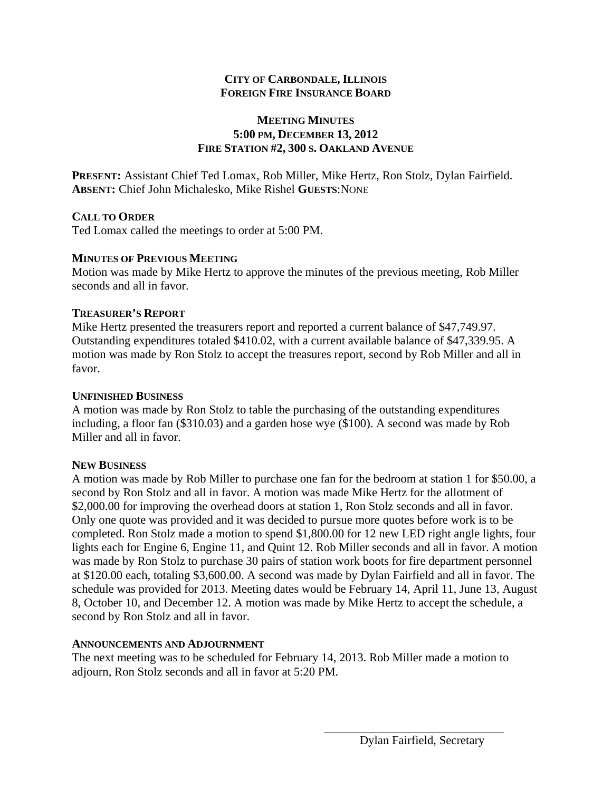### **MEETING MINUTES 5:00 PM, DECEMBER 13, 2012 FIRE STATION #2, 300 S. OAKLAND AVENUE**

**PRESENT:** Assistant Chief Ted Lomax, Rob Miller, Mike Hertz, Ron Stolz, Dylan Fairfield. **ABSENT:** Chief John Michalesko, Mike Rishel **GUESTS**:NONE

### **CALL TO ORDER**

Ted Lomax called the meetings to order at 5:00 PM.

### **MINUTES OF PREVIOUS MEETING**

Motion was made by Mike Hertz to approve the minutes of the previous meeting, Rob Miller seconds and all in favor.

### **TREASURER'S REPORT**

Mike Hertz presented the treasurers report and reported a current balance of \$47,749.97. Outstanding expenditures totaled \$410.02, with a current available balance of \$47,339.95. A motion was made by Ron Stolz to accept the treasures report, second by Rob Miller and all in favor.

### **UNFINISHED BUSINESS**

A motion was made by Ron Stolz to table the purchasing of the outstanding expenditures including, a floor fan (\$310.03) and a garden hose wye (\$100). A second was made by Rob Miller and all in favor.

### **NEW BUSINESS**

A motion was made by Rob Miller to purchase one fan for the bedroom at station 1 for \$50.00, a second by Ron Stolz and all in favor. A motion was made Mike Hertz for the allotment of \$2,000.00 for improving the overhead doors at station 1, Ron Stolz seconds and all in favor. Only one quote was provided and it was decided to pursue more quotes before work is to be completed. Ron Stolz made a motion to spend \$1,800.00 for 12 new LED right angle lights, four lights each for Engine 6, Engine 11, and Quint 12. Rob Miller seconds and all in favor. A motion was made by Ron Stolz to purchase 30 pairs of station work boots for fire department personnel at \$120.00 each, totaling \$3,600.00. A second was made by Dylan Fairfield and all in favor. The schedule was provided for 2013. Meeting dates would be February 14, April 11, June 13, August 8, October 10, and December 12. A motion was made by Mike Hertz to accept the schedule, a second by Ron Stolz and all in favor.

### **ANNOUNCEMENTS AND ADJOURNMENT**

The next meeting was to be scheduled for February 14, 2013. Rob Miller made a motion to adjourn, Ron Stolz seconds and all in favor at 5:20 PM.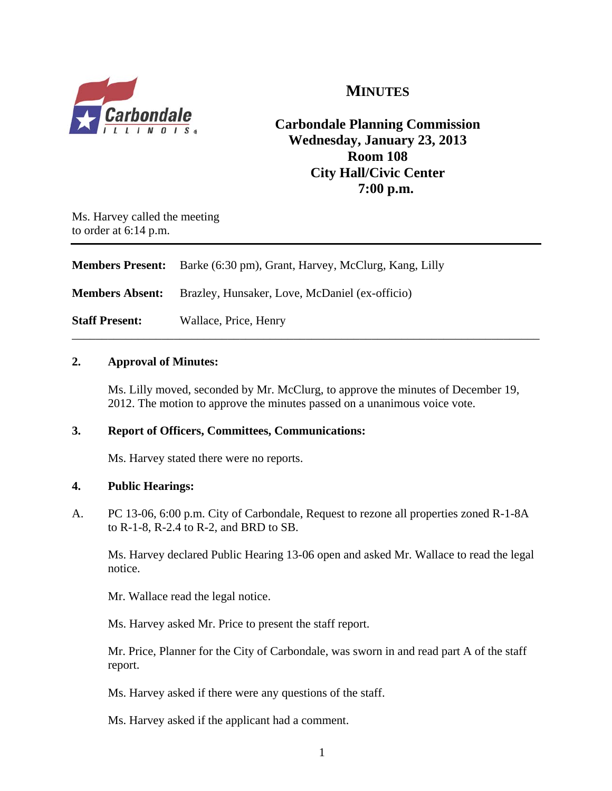

# **MINUTES**

# **Carbondale Planning Commission Wednesday, January 23, 2013 Room 108 City Hall/Civic Center 7:00 p.m.**

Ms. Harvey called the meeting to order at 6:14 p.m.

| <b>Members Present:</b> | Barke (6:30 pm), Grant, Harvey, McClurg, Kang, Lilly |
|-------------------------|------------------------------------------------------|
| <b>Members Absent:</b>  | Brazley, Hunsaker, Love, McDaniel (ex-officio)       |
| <b>Staff Present:</b>   | Wallace, Price, Henry                                |

### **2. Approval of Minutes:**

Ms. Lilly moved, seconded by Mr. McClurg, to approve the minutes of December 19, 2012. The motion to approve the minutes passed on a unanimous voice vote.

\_\_\_\_\_\_\_\_\_\_\_\_\_\_\_\_\_\_\_\_\_\_\_\_\_\_\_\_\_\_\_\_\_\_\_\_\_\_\_\_\_\_\_\_\_\_\_\_\_\_\_\_\_\_\_\_\_\_\_\_\_\_\_\_\_\_\_\_\_\_\_\_\_\_\_\_\_\_

### **3. Report of Officers, Committees, Communications:**

Ms. Harvey stated there were no reports.

### **4. Public Hearings:**

A. PC 13-06, 6:00 p.m. City of Carbondale, Request to rezone all properties zoned R-1-8A to R-1-8, R-2.4 to R-2, and BRD to SB.

 Ms. Harvey declared Public Hearing 13-06 open and asked Mr. Wallace to read the legal notice.

Mr. Wallace read the legal notice.

Ms. Harvey asked Mr. Price to present the staff report.

Mr. Price, Planner for the City of Carbondale, was sworn in and read part A of the staff report.

Ms. Harvey asked if there were any questions of the staff.

Ms. Harvey asked if the applicant had a comment.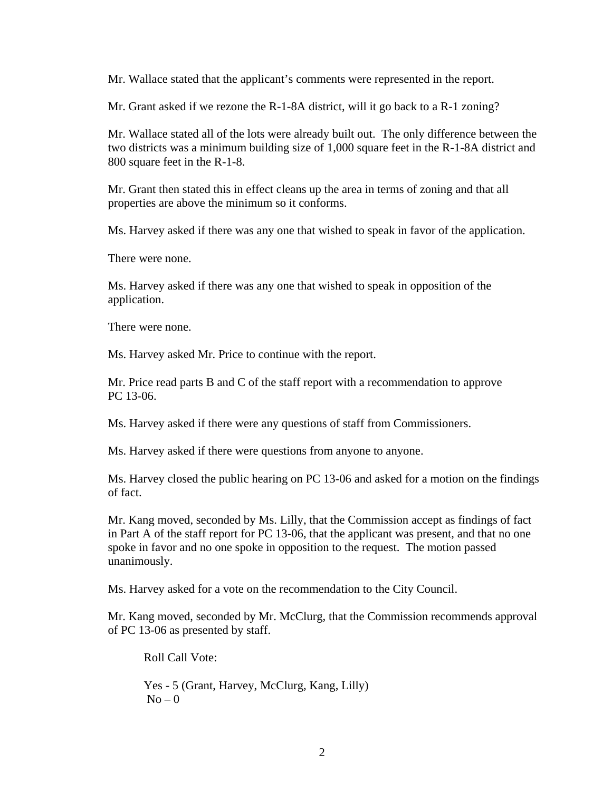Mr. Wallace stated that the applicant's comments were represented in the report.

Mr. Grant asked if we rezone the R-1-8A district, will it go back to a R-1 zoning?

Mr. Wallace stated all of the lots were already built out. The only difference between the two districts was a minimum building size of 1,000 square feet in the R-1-8A district and 800 square feet in the R-1-8.

 Mr. Grant then stated this in effect cleans up the area in terms of zoning and that all properties are above the minimum so it conforms.

Ms. Harvey asked if there was any one that wished to speak in favor of the application.

There were none.

 Ms. Harvey asked if there was any one that wished to speak in opposition of the application.

There were none.

Ms. Harvey asked Mr. Price to continue with the report.

 Mr. Price read parts B and C of the staff report with a recommendation to approve PC 13-06.

Ms. Harvey asked if there were any questions of staff from Commissioners.

Ms. Harvey asked if there were questions from anyone to anyone.

Ms. Harvey closed the public hearing on PC 13-06 and asked for a motion on the findings of fact.

Mr. Kang moved, seconded by Ms. Lilly, that the Commission accept as findings of fact in Part A of the staff report for PC 13-06, that the applicant was present, and that no one spoke in favor and no one spoke in opposition to the request. The motion passed unanimously.

Ms. Harvey asked for a vote on the recommendation to the City Council.

Mr. Kang moved, seconded by Mr. McClurg, that the Commission recommends approval of PC 13-06 as presented by staff.

Roll Call Vote:

Yes - 5 (Grant, Harvey, McClurg, Kang, Lilly)  $No - 0$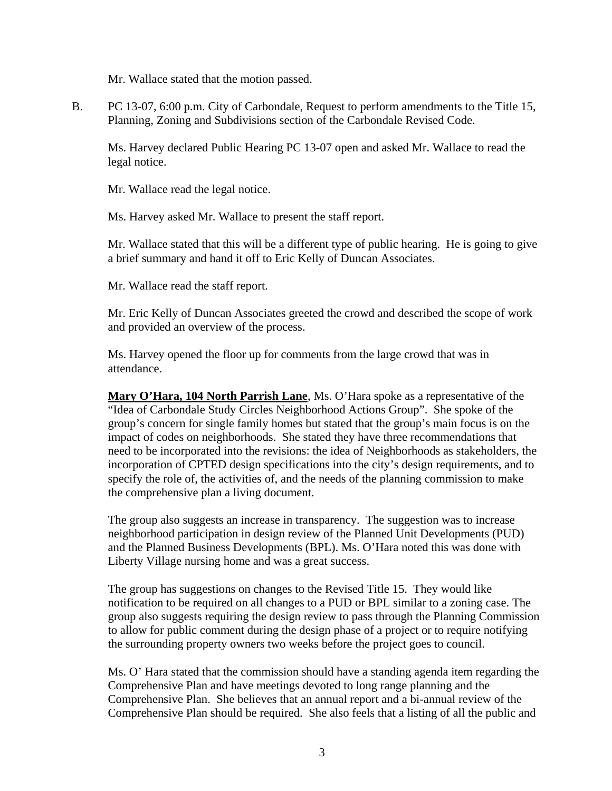Mr. Wallace stated that the motion passed.

B. PC 13-07, 6:00 p.m. City of Carbondale, Request to perform amendments to the Title 15, Planning, Zoning and Subdivisions section of the Carbondale Revised Code.

Ms. Harvey declared Public Hearing PC 13-07 open and asked Mr. Wallace to read the legal notice.

Mr. Wallace read the legal notice.

Ms. Harvey asked Mr. Wallace to present the staff report.

Mr. Wallace stated that this will be a different type of public hearing. He is going to give a brief summary and hand it off to Eric Kelly of Duncan Associates.

Mr. Wallace read the staff report.

Mr. Eric Kelly of Duncan Associates greeted the crowd and described the scope of work and provided an overview of the process.

Ms. Harvey opened the floor up for comments from the large crowd that was in attendance.

**Mary O'Hara, 104 North Parrish Lane**, Ms. O'Hara spoke as a representative of the "Idea of Carbondale Study Circles Neighborhood Actions Group". She spoke of the group's concern for single family homes but stated that the group's main focus is on the impact of codes on neighborhoods. She stated they have three recommendations that need to be incorporated into the revisions: the idea of Neighborhoods as stakeholders, the incorporation of CPTED design specifications into the city's design requirements, and to specify the role of, the activities of, and the needs of the planning commission to make the comprehensive plan a living document.

The group also suggests an increase in transparency. The suggestion was to increase neighborhood participation in design review of the Planned Unit Developments (PUD) and the Planned Business Developments (BPL). Ms. O'Hara noted this was done with Liberty Village nursing home and was a great success.

The group has suggestions on changes to the Revised Title 15. They would like notification to be required on all changes to a PUD or BPL similar to a zoning case. The group also suggests requiring the design review to pass through the Planning Commission to allow for public comment during the design phase of a project or to require notifying the surrounding property owners two weeks before the project goes to council.

Ms. O' Hara stated that the commission should have a standing agenda item regarding the Comprehensive Plan and have meetings devoted to long range planning and the Comprehensive Plan. She believes that an annual report and a bi-annual review of the Comprehensive Plan should be required. She also feels that a listing of all the public and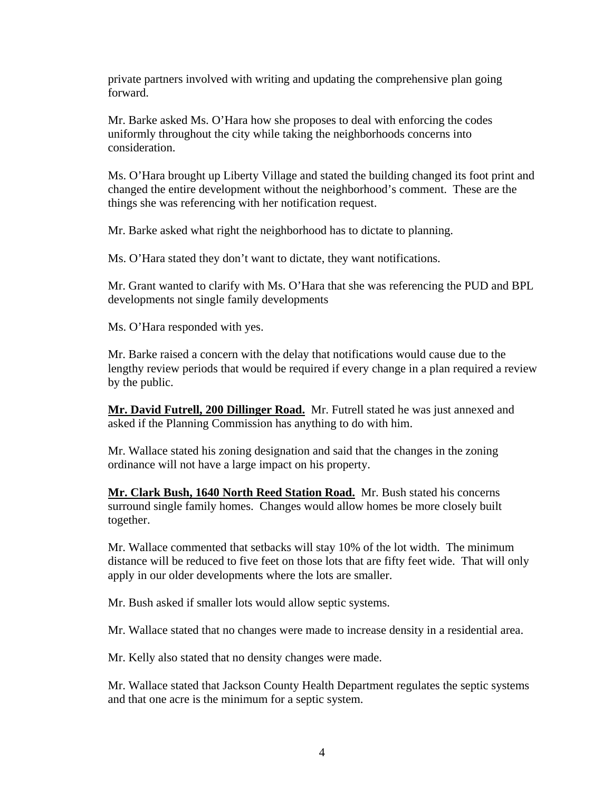private partners involved with writing and updating the comprehensive plan going forward.

Mr. Barke asked Ms. O'Hara how she proposes to deal with enforcing the codes uniformly throughout the city while taking the neighborhoods concerns into consideration.

Ms. O'Hara brought up Liberty Village and stated the building changed its foot print and changed the entire development without the neighborhood's comment. These are the things she was referencing with her notification request.

Mr. Barke asked what right the neighborhood has to dictate to planning.

Ms. O'Hara stated they don't want to dictate, they want notifications.

Mr. Grant wanted to clarify with Ms. O'Hara that she was referencing the PUD and BPL developments not single family developments

Ms. O'Hara responded with yes.

Mr. Barke raised a concern with the delay that notifications would cause due to the lengthy review periods that would be required if every change in a plan required a review by the public.

**Mr. David Futrell, 200 Dillinger Road.** Mr. Futrell stated he was just annexed and asked if the Planning Commission has anything to do with him.

Mr. Wallace stated his zoning designation and said that the changes in the zoning ordinance will not have a large impact on his property.

**Mr. Clark Bush, 1640 North Reed Station Road.** Mr. Bush stated his concerns surround single family homes. Changes would allow homes be more closely built together.

Mr. Wallace commented that setbacks will stay 10% of the lot width. The minimum distance will be reduced to five feet on those lots that are fifty feet wide. That will only apply in our older developments where the lots are smaller.

Mr. Bush asked if smaller lots would allow septic systems.

Mr. Wallace stated that no changes were made to increase density in a residential area.

Mr. Kelly also stated that no density changes were made.

Mr. Wallace stated that Jackson County Health Department regulates the septic systems and that one acre is the minimum for a septic system.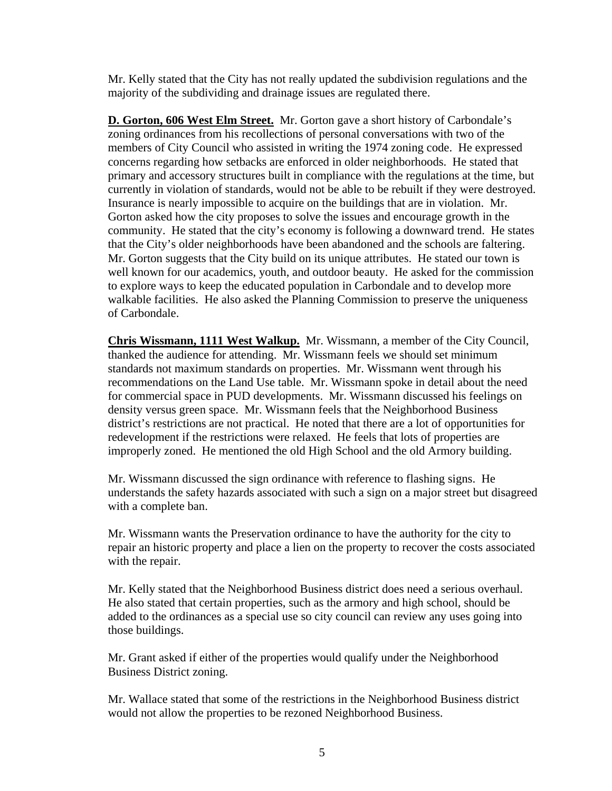Mr. Kelly stated that the City has not really updated the subdivision regulations and the majority of the subdividing and drainage issues are regulated there.

**D. Gorton, 606 West Elm Street.** Mr. Gorton gave a short history of Carbondale's zoning ordinances from his recollections of personal conversations with two of the members of City Council who assisted in writing the 1974 zoning code. He expressed concerns regarding how setbacks are enforced in older neighborhoods. He stated that primary and accessory structures built in compliance with the regulations at the time, but currently in violation of standards, would not be able to be rebuilt if they were destroyed. Insurance is nearly impossible to acquire on the buildings that are in violation. Mr. Gorton asked how the city proposes to solve the issues and encourage growth in the community. He stated that the city's economy is following a downward trend. He states that the City's older neighborhoods have been abandoned and the schools are faltering. Mr. Gorton suggests that the City build on its unique attributes. He stated our town is well known for our academics, youth, and outdoor beauty. He asked for the commission to explore ways to keep the educated population in Carbondale and to develop more walkable facilities. He also asked the Planning Commission to preserve the uniqueness of Carbondale.

**Chris Wissmann, 1111 West Walkup.** Mr. Wissmann, a member of the City Council, thanked the audience for attending. Mr. Wissmann feels we should set minimum standards not maximum standards on properties. Mr. Wissmann went through his recommendations on the Land Use table. Mr. Wissmann spoke in detail about the need for commercial space in PUD developments. Mr. Wissmann discussed his feelings on density versus green space. Mr. Wissmann feels that the Neighborhood Business district's restrictions are not practical. He noted that there are a lot of opportunities for redevelopment if the restrictions were relaxed. He feels that lots of properties are improperly zoned. He mentioned the old High School and the old Armory building.

Mr. Wissmann discussed the sign ordinance with reference to flashing signs. He understands the safety hazards associated with such a sign on a major street but disagreed with a complete ban.

Mr. Wissmann wants the Preservation ordinance to have the authority for the city to repair an historic property and place a lien on the property to recover the costs associated with the repair.

Mr. Kelly stated that the Neighborhood Business district does need a serious overhaul. He also stated that certain properties, such as the armory and high school, should be added to the ordinances as a special use so city council can review any uses going into those buildings.

Mr. Grant asked if either of the properties would qualify under the Neighborhood Business District zoning.

Mr. Wallace stated that some of the restrictions in the Neighborhood Business district would not allow the properties to be rezoned Neighborhood Business.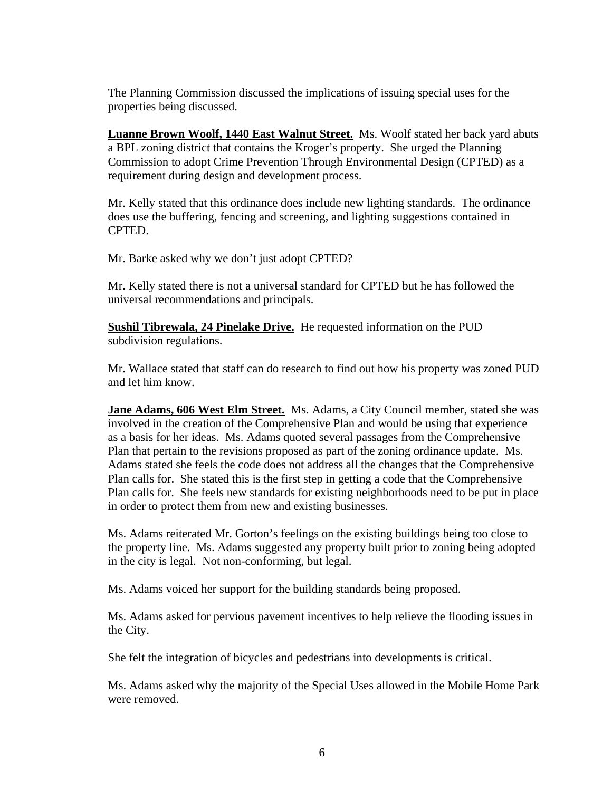The Planning Commission discussed the implications of issuing special uses for the properties being discussed.

**Luanne Brown Woolf, 1440 East Walnut Street.** Ms. Woolf stated her back yard abuts a BPL zoning district that contains the Kroger's property. She urged the Planning Commission to adopt Crime Prevention Through Environmental Design (CPTED) as a requirement during design and development process.

Mr. Kelly stated that this ordinance does include new lighting standards. The ordinance does use the buffering, fencing and screening, and lighting suggestions contained in CPTED.

Mr. Barke asked why we don't just adopt CPTED?

Mr. Kelly stated there is not a universal standard for CPTED but he has followed the universal recommendations and principals.

**Sushil Tibrewala, 24 Pinelake Drive.** He requested information on the PUD subdivision regulations.

Mr. Wallace stated that staff can do research to find out how his property was zoned PUD and let him know.

**Jane Adams, 606 West Elm Street.** Ms. Adams, a City Council member, stated she was involved in the creation of the Comprehensive Plan and would be using that experience as a basis for her ideas. Ms. Adams quoted several passages from the Comprehensive Plan that pertain to the revisions proposed as part of the zoning ordinance update. Ms. Adams stated she feels the code does not address all the changes that the Comprehensive Plan calls for. She stated this is the first step in getting a code that the Comprehensive Plan calls for. She feels new standards for existing neighborhoods need to be put in place in order to protect them from new and existing businesses.

Ms. Adams reiterated Mr. Gorton's feelings on the existing buildings being too close to the property line. Ms. Adams suggested any property built prior to zoning being adopted in the city is legal. Not non-conforming, but legal.

Ms. Adams voiced her support for the building standards being proposed.

Ms. Adams asked for pervious pavement incentives to help relieve the flooding issues in the City.

She felt the integration of bicycles and pedestrians into developments is critical.

Ms. Adams asked why the majority of the Special Uses allowed in the Mobile Home Park were removed.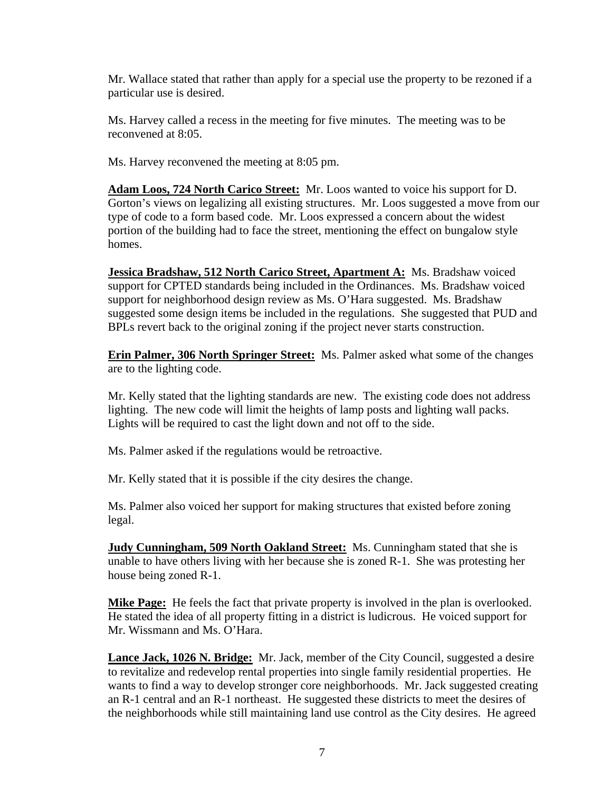Mr. Wallace stated that rather than apply for a special use the property to be rezoned if a particular use is desired.

Ms. Harvey called a recess in the meeting for five minutes. The meeting was to be reconvened at 8:05.

Ms. Harvey reconvened the meeting at 8:05 pm.

**Adam Loos, 724 North Carico Street:** Mr. Loos wanted to voice his support for D. Gorton's views on legalizing all existing structures. Mr. Loos suggested a move from our type of code to a form based code. Mr. Loos expressed a concern about the widest portion of the building had to face the street, mentioning the effect on bungalow style homes.

**Jessica Bradshaw, 512 North Carico Street, Apartment A:** Ms. Bradshaw voiced support for CPTED standards being included in the Ordinances. Ms. Bradshaw voiced support for neighborhood design review as Ms. O'Hara suggested. Ms. Bradshaw suggested some design items be included in the regulations. She suggested that PUD and BPLs revert back to the original zoning if the project never starts construction.

**Erin Palmer, 306 North Springer Street:** Ms. Palmer asked what some of the changes are to the lighting code.

Mr. Kelly stated that the lighting standards are new. The existing code does not address lighting. The new code will limit the heights of lamp posts and lighting wall packs. Lights will be required to cast the light down and not off to the side.

Ms. Palmer asked if the regulations would be retroactive.

Mr. Kelly stated that it is possible if the city desires the change.

Ms. Palmer also voiced her support for making structures that existed before zoning legal.

**Judy Cunningham, 509 North Oakland Street:** Ms. Cunningham stated that she is unable to have others living with her because she is zoned R-1. She was protesting her house being zoned R-1.

**Mike Page:** He feels the fact that private property is involved in the plan is overlooked. He stated the idea of all property fitting in a district is ludicrous. He voiced support for Mr. Wissmann and Ms. O'Hara.

**Lance Jack, 1026 N. Bridge:** Mr. Jack, member of the City Council, suggested a desire to revitalize and redevelop rental properties into single family residential properties. He wants to find a way to develop stronger core neighborhoods. Mr. Jack suggested creating an R-1 central and an R-1 northeast. He suggested these districts to meet the desires of the neighborhoods while still maintaining land use control as the City desires. He agreed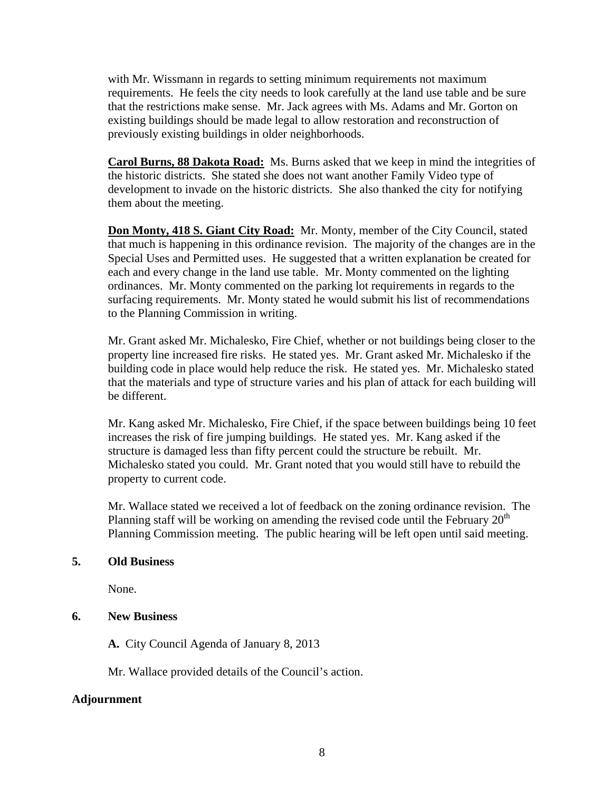with Mr. Wissmann in regards to setting minimum requirements not maximum requirements. He feels the city needs to look carefully at the land use table and be sure that the restrictions make sense. Mr. Jack agrees with Ms. Adams and Mr. Gorton on existing buildings should be made legal to allow restoration and reconstruction of previously existing buildings in older neighborhoods.

**Carol Burns, 88 Dakota Road:** Ms. Burns asked that we keep in mind the integrities of the historic districts. She stated she does not want another Family Video type of development to invade on the historic districts. She also thanked the city for notifying them about the meeting.

**Don Monty, 418 S. Giant City Road:** Mr. Monty, member of the City Council, stated that much is happening in this ordinance revision. The majority of the changes are in the Special Uses and Permitted uses. He suggested that a written explanation be created for each and every change in the land use table. Mr. Monty commented on the lighting ordinances. Mr. Monty commented on the parking lot requirements in regards to the surfacing requirements. Mr. Monty stated he would submit his list of recommendations to the Planning Commission in writing.

Mr. Grant asked Mr. Michalesko, Fire Chief, whether or not buildings being closer to the property line increased fire risks. He stated yes. Mr. Grant asked Mr. Michalesko if the building code in place would help reduce the risk. He stated yes. Mr. Michalesko stated that the materials and type of structure varies and his plan of attack for each building will be different.

Mr. Kang asked Mr. Michalesko, Fire Chief, if the space between buildings being 10 feet increases the risk of fire jumping buildings. He stated yes. Mr. Kang asked if the structure is damaged less than fifty percent could the structure be rebuilt. Mr. Michalesko stated you could. Mr. Grant noted that you would still have to rebuild the property to current code.

Mr. Wallace stated we received a lot of feedback on the zoning ordinance revision. The Planning staff will be working on amending the revised code until the February  $20<sup>th</sup>$ Planning Commission meeting. The public hearing will be left open until said meeting.

### **5. Old Business**

None.

### **6. New Business**

**A.** City Council Agenda of January 8, 2013

Mr. Wallace provided details of the Council's action.

#### **Adjournment**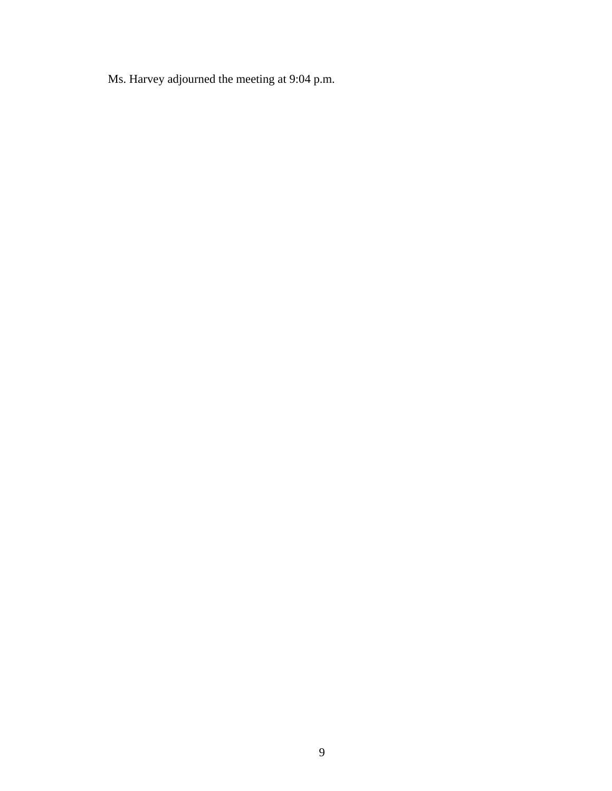Ms. Harvey adjourned the meeting at 9:04 p.m.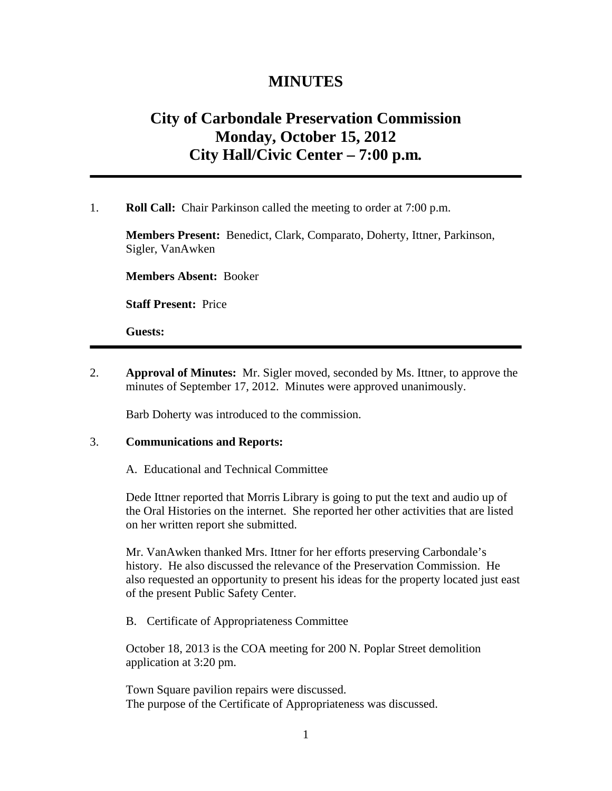# **MINUTES**

# **City of Carbondale Preservation Commission Monday, October 15, 2012 City Hall/Civic Center – 7:00 p.m***.*

1. **Roll Call:** Chair Parkinson called the meeting to order at 7:00 p.m.

**Members Present:** Benedict, Clark, Comparato, Doherty, Ittner, Parkinson, Sigler, VanAwken

**Members Absent:** Booker

**Staff Present:** Price

**Guests:**

2. **Approval of Minutes:** Mr. Sigler moved, seconded by Ms. Ittner, to approve the minutes of September 17, 2012. Minutes were approved unanimously.

Barb Doherty was introduced to the commission.

#### 3. **Communications and Reports:**

#### A. Educational and Technical Committee

Dede Ittner reported that Morris Library is going to put the text and audio up of the Oral Histories on the internet. She reported her other activities that are listed on her written report she submitted.

Mr. VanAwken thanked Mrs. Ittner for her efforts preserving Carbondale's history. He also discussed the relevance of the Preservation Commission. He also requested an opportunity to present his ideas for the property located just east of the present Public Safety Center.

#### B. Certificate of Appropriateness Committee

October 18, 2013 is the COA meeting for 200 N. Poplar Street demolition application at 3:20 pm.

Town Square pavilion repairs were discussed. The purpose of the Certificate of Appropriateness was discussed.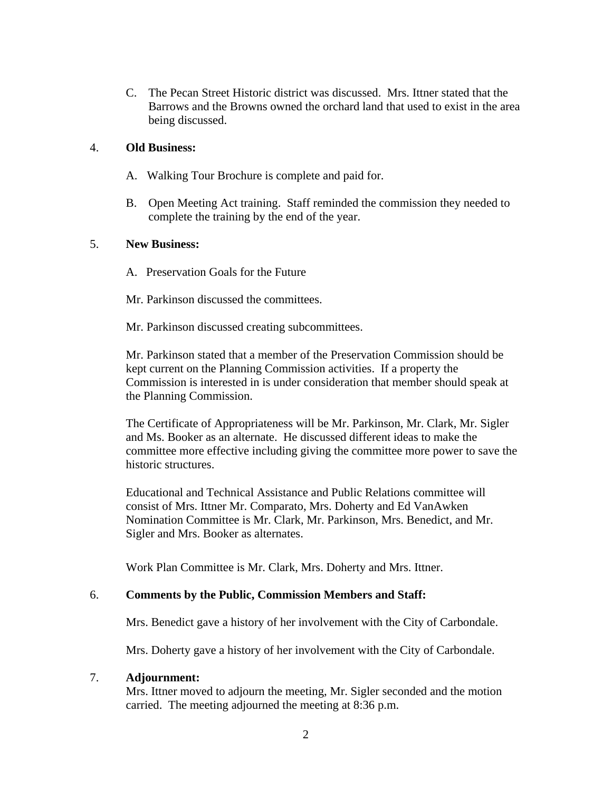C. The Pecan Street Historic district was discussed. Mrs. Ittner stated that the Barrows and the Browns owned the orchard land that used to exist in the area being discussed.

### 4. **Old Business:**

- A. Walking Tour Brochure is complete and paid for.
- B. Open Meeting Act training. Staff reminded the commission they needed to complete the training by the end of the year.

#### 5. **New Business:**

- A. Preservation Goals for the Future
- Mr. Parkinson discussed the committees.

Mr. Parkinson discussed creating subcommittees.

Mr. Parkinson stated that a member of the Preservation Commission should be kept current on the Planning Commission activities. If a property the Commission is interested in is under consideration that member should speak at the Planning Commission.

The Certificate of Appropriateness will be Mr. Parkinson, Mr. Clark, Mr. Sigler and Ms. Booker as an alternate. He discussed different ideas to make the committee more effective including giving the committee more power to save the historic structures.

Educational and Technical Assistance and Public Relations committee will consist of Mrs. Ittner Mr. Comparato, Mrs. Doherty and Ed VanAwken Nomination Committee is Mr. Clark, Mr. Parkinson, Mrs. Benedict, and Mr. Sigler and Mrs. Booker as alternates.

Work Plan Committee is Mr. Clark, Mrs. Doherty and Mrs. Ittner.

#### 6. **Comments by the Public, Commission Members and Staff:**

Mrs. Benedict gave a history of her involvement with the City of Carbondale.

Mrs. Doherty gave a history of her involvement with the City of Carbondale.

#### 7. **Adjournment:**

 Mrs. Ittner moved to adjourn the meeting, Mr. Sigler seconded and the motion carried. The meeting adjourned the meeting at 8:36 p.m.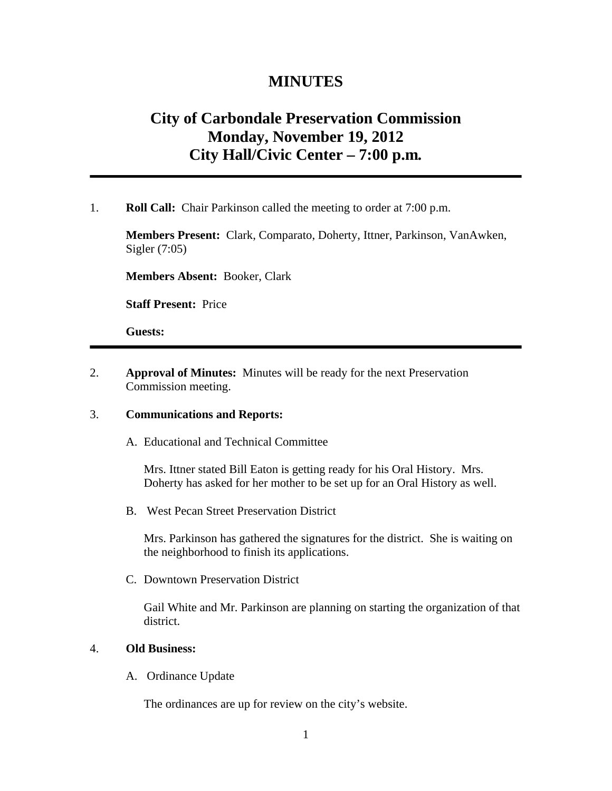## **MINUTES**

# **City of Carbondale Preservation Commission Monday, November 19, 2012 City Hall/Civic Center – 7:00 p.m***.*

1. **Roll Call:** Chair Parkinson called the meeting to order at 7:00 p.m.

**Members Present:** Clark, Comparato, Doherty, Ittner, Parkinson, VanAwken, Sigler (7:05)

**Members Absent:** Booker, Clark

**Staff Present:** Price

**Guests:**

2. **Approval of Minutes:** Minutes will be ready for the next Preservation Commission meeting.

#### 3. **Communications and Reports:**

A. Educational and Technical Committee

Mrs. Ittner stated Bill Eaton is getting ready for his Oral History. Mrs. Doherty has asked for her mother to be set up for an Oral History as well.

B. West Pecan Street Preservation District

Mrs. Parkinson has gathered the signatures for the district. She is waiting on the neighborhood to finish its applications.

C. Downtown Preservation District

Gail White and Mr. Parkinson are planning on starting the organization of that district.

### 4. **Old Business:**

A. Ordinance Update

The ordinances are up for review on the city's website.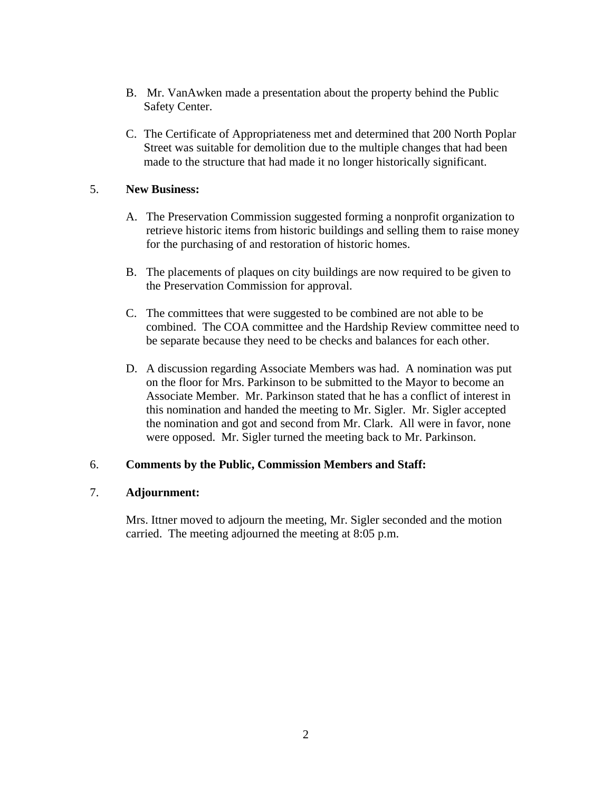- B. Mr. VanAwken made a presentation about the property behind the Public Safety Center.
- C. The Certificate of Appropriateness met and determined that 200 North Poplar Street was suitable for demolition due to the multiple changes that had been made to the structure that had made it no longer historically significant.

### 5. **New Business:**

- A. The Preservation Commission suggested forming a nonprofit organization to retrieve historic items from historic buildings and selling them to raise money for the purchasing of and restoration of historic homes.
- B. The placements of plaques on city buildings are now required to be given to the Preservation Commission for approval.
- C. The committees that were suggested to be combined are not able to be combined. The COA committee and the Hardship Review committee need to be separate because they need to be checks and balances for each other.
- D. A discussion regarding Associate Members was had. A nomination was put on the floor for Mrs. Parkinson to be submitted to the Mayor to become an Associate Member. Mr. Parkinson stated that he has a conflict of interest in this nomination and handed the meeting to Mr. Sigler. Mr. Sigler accepted the nomination and got and second from Mr. Clark. All were in favor, none were opposed. Mr. Sigler turned the meeting back to Mr. Parkinson.

### 6. **Comments by the Public, Commission Members and Staff:**

#### 7. **Adjournment:**

 Mrs. Ittner moved to adjourn the meeting, Mr. Sigler seconded and the motion carried. The meeting adjourned the meeting at 8:05 p.m.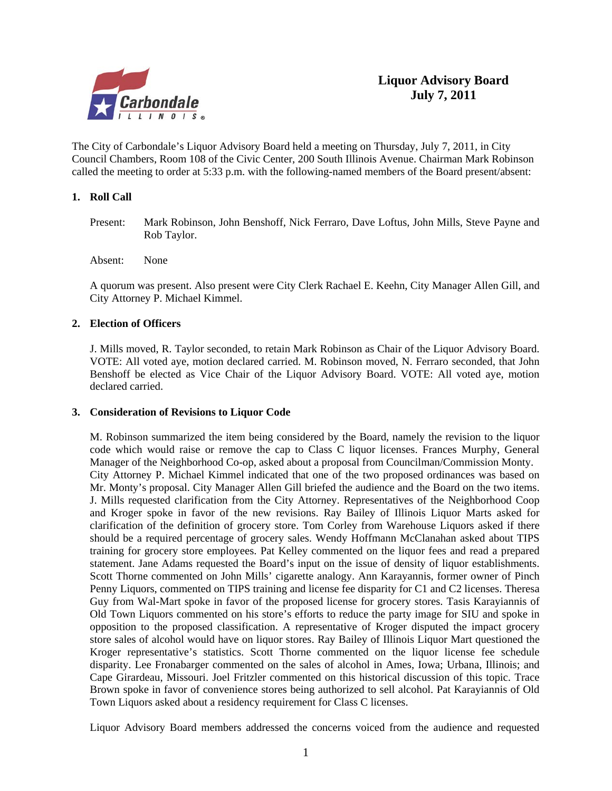

The City of Carbondale's Liquor Advisory Board held a meeting on Thursday, July 7, 2011, in City Council Chambers, Room 108 of the Civic Center, 200 South Illinois Avenue. Chairman Mark Robinson called the meeting to order at 5:33 p.m. with the following-named members of the Board present/absent:

#### **1. Roll Call**

Present: Mark Robinson, John Benshoff, Nick Ferraro, Dave Loftus, John Mills, Steve Payne and Rob Taylor.

Absent: None

A quorum was present. Also present were City Clerk Rachael E. Keehn, City Manager Allen Gill, and City Attorney P. Michael Kimmel.

#### **2. Election of Officers**

J. Mills moved, R. Taylor seconded, to retain Mark Robinson as Chair of the Liquor Advisory Board. VOTE: All voted aye, motion declared carried. M. Robinson moved, N. Ferraro seconded, that John Benshoff be elected as Vice Chair of the Liquor Advisory Board. VOTE: All voted aye, motion declared carried.

#### **3. Consideration of Revisions to Liquor Code**

M. Robinson summarized the item being considered by the Board, namely the revision to the liquor code which would raise or remove the cap to Class C liquor licenses. Frances Murphy, General Manager of the Neighborhood Co-op, asked about a proposal from Councilman/Commission Monty. City Attorney P. Michael Kimmel indicated that one of the two proposed ordinances was based on Mr. Monty's proposal. City Manager Allen Gill briefed the audience and the Board on the two items. J. Mills requested clarification from the City Attorney. Representatives of the Neighborhood Coop and Kroger spoke in favor of the new revisions. Ray Bailey of Illinois Liquor Marts asked for clarification of the definition of grocery store. Tom Corley from Warehouse Liquors asked if there should be a required percentage of grocery sales. Wendy Hoffmann McClanahan asked about TIPS training for grocery store employees. Pat Kelley commented on the liquor fees and read a prepared statement. Jane Adams requested the Board's input on the issue of density of liquor establishments. Scott Thorne commented on John Mills' cigarette analogy. Ann Karayannis, former owner of Pinch Penny Liquors, commented on TIPS training and license fee disparity for C1 and C2 licenses. Theresa Guy from Wal-Mart spoke in favor of the proposed license for grocery stores. Tasis Karayiannis of Old Town Liquors commented on his store's efforts to reduce the party image for SIU and spoke in opposition to the proposed classification. A representative of Kroger disputed the impact grocery store sales of alcohol would have on liquor stores. Ray Bailey of Illinois Liquor Mart questioned the Kroger representative's statistics. Scott Thorne commented on the liquor license fee schedule disparity. Lee Fronabarger commented on the sales of alcohol in Ames, Iowa; Urbana, Illinois; and Cape Girardeau, Missouri. Joel Fritzler commented on this historical discussion of this topic. Trace Brown spoke in favor of convenience stores being authorized to sell alcohol. Pat Karayiannis of Old Town Liquors asked about a residency requirement for Class C licenses.

Liquor Advisory Board members addressed the concerns voiced from the audience and requested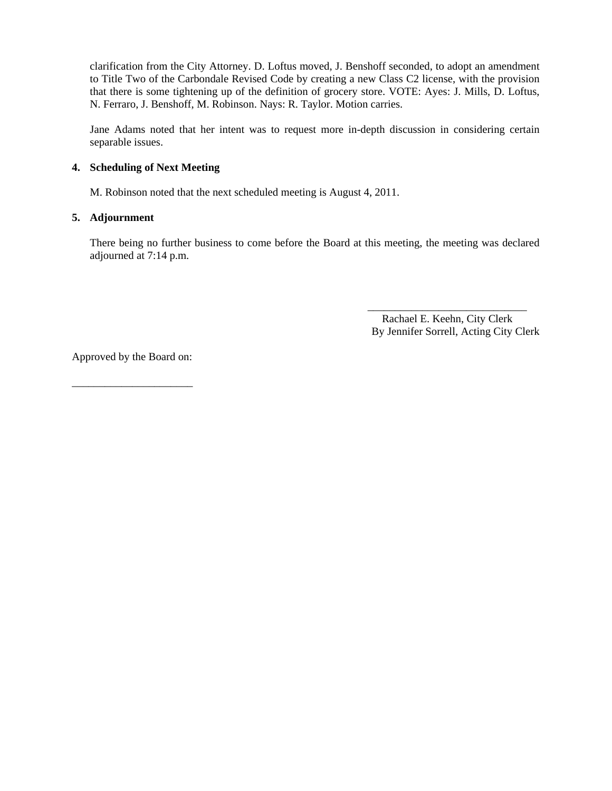clarification from the City Attorney. D. Loftus moved, J. Benshoff seconded, to adopt an amendment to Title Two of the Carbondale Revised Code by creating a new Class C2 license, with the provision that there is some tightening up of the definition of grocery store. VOTE: Ayes: J. Mills, D. Loftus, N. Ferraro, J. Benshoff, M. Robinson. Nays: R. Taylor. Motion carries.

Jane Adams noted that her intent was to request more in-depth discussion in considering certain separable issues.

#### **4. Scheduling of Next Meeting**

M. Robinson noted that the next scheduled meeting is August 4, 2011.

#### **5. Adjournment**

There being no further business to come before the Board at this meeting, the meeting was declared adjourned at 7:14 p.m.

 $\overline{\phantom{a}}$  , and the contract of the contract of the contract of the contract of the contract of the contract of the contract of the contract of the contract of the contract of the contract of the contract of the contrac Rachael E. Keehn, City Clerk By Jennifer Sorrell, Acting City Clerk

Approved by the Board on:

\_\_\_\_\_\_\_\_\_\_\_\_\_\_\_\_\_\_\_\_\_\_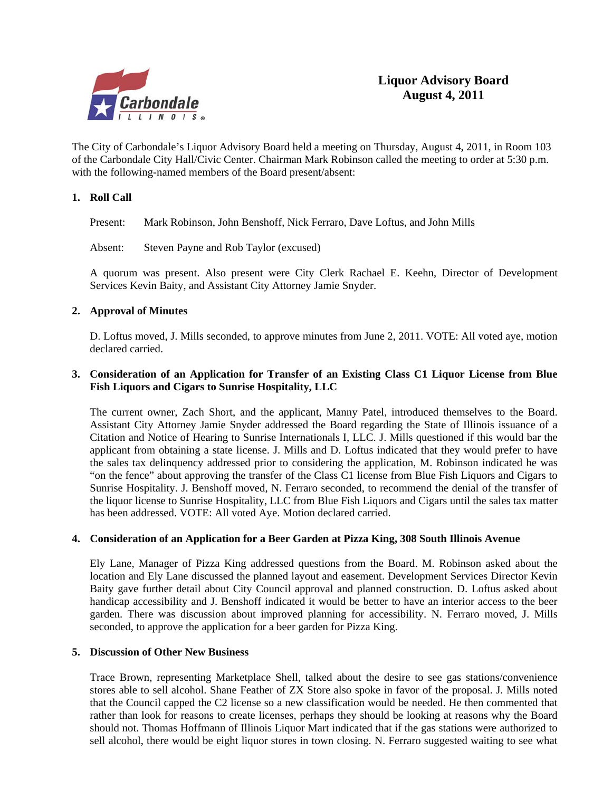

The City of Carbondale's Liquor Advisory Board held a meeting on Thursday, August 4, 2011, in Room 103 of the Carbondale City Hall/Civic Center. Chairman Mark Robinson called the meeting to order at 5:30 p.m. with the following-named members of the Board present/absent:

#### **1. Roll Call**

Present: Mark Robinson, John Benshoff, Nick Ferraro, Dave Loftus, and John Mills

Absent: Steven Payne and Rob Taylor (excused)

A quorum was present. Also present were City Clerk Rachael E. Keehn, Director of Development Services Kevin Baity, and Assistant City Attorney Jamie Snyder.

#### **2. Approval of Minutes**

D. Loftus moved, J. Mills seconded, to approve minutes from June 2, 2011. VOTE: All voted aye, motion declared carried.

#### **3. Consideration of an Application for Transfer of an Existing Class C1 Liquor License from Blue Fish Liquors and Cigars to Sunrise Hospitality, LLC**

The current owner, Zach Short, and the applicant, Manny Patel, introduced themselves to the Board. Assistant City Attorney Jamie Snyder addressed the Board regarding the State of Illinois issuance of a Citation and Notice of Hearing to Sunrise Internationals I, LLC. J. Mills questioned if this would bar the applicant from obtaining a state license. J. Mills and D. Loftus indicated that they would prefer to have the sales tax delinquency addressed prior to considering the application, M. Robinson indicated he was "on the fence" about approving the transfer of the Class C1 license from Blue Fish Liquors and Cigars to Sunrise Hospitality. J. Benshoff moved, N. Ferraro seconded, to recommend the denial of the transfer of the liquor license to Sunrise Hospitality, LLC from Blue Fish Liquors and Cigars until the sales tax matter has been addressed. VOTE: All voted Aye. Motion declared carried.

#### **4. Consideration of an Application for a Beer Garden at Pizza King, 308 South Illinois Avenue**

Ely Lane, Manager of Pizza King addressed questions from the Board. M. Robinson asked about the location and Ely Lane discussed the planned layout and easement. Development Services Director Kevin Baity gave further detail about City Council approval and planned construction. D. Loftus asked about handicap accessibility and J. Benshoff indicated it would be better to have an interior access to the beer garden. There was discussion about improved planning for accessibility. N. Ferraro moved, J. Mills seconded, to approve the application for a beer garden for Pizza King.

#### **5. Discussion of Other New Business**

Trace Brown, representing Marketplace Shell, talked about the desire to see gas stations/convenience stores able to sell alcohol. Shane Feather of ZX Store also spoke in favor of the proposal. J. Mills noted that the Council capped the C2 license so a new classification would be needed. He then commented that rather than look for reasons to create licenses, perhaps they should be looking at reasons why the Board should not. Thomas Hoffmann of Illinois Liquor Mart indicated that if the gas stations were authorized to sell alcohol, there would be eight liquor stores in town closing. N. Ferraro suggested waiting to see what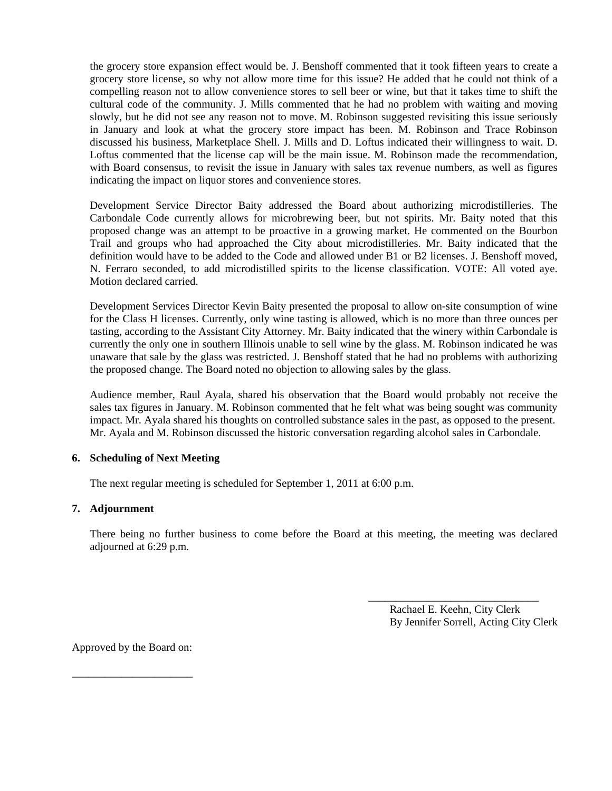the grocery store expansion effect would be. J. Benshoff commented that it took fifteen years to create a grocery store license, so why not allow more time for this issue? He added that he could not think of a compelling reason not to allow convenience stores to sell beer or wine, but that it takes time to shift the cultural code of the community. J. Mills commented that he had no problem with waiting and moving slowly, but he did not see any reason not to move. M. Robinson suggested revisiting this issue seriously in January and look at what the grocery store impact has been. M. Robinson and Trace Robinson discussed his business, Marketplace Shell. J. Mills and D. Loftus indicated their willingness to wait. D. Loftus commented that the license cap will be the main issue. M. Robinson made the recommendation, with Board consensus, to revisit the issue in January with sales tax revenue numbers, as well as figures indicating the impact on liquor stores and convenience stores.

Development Service Director Baity addressed the Board about authorizing microdistilleries. The Carbondale Code currently allows for microbrewing beer, but not spirits. Mr. Baity noted that this proposed change was an attempt to be proactive in a growing market. He commented on the Bourbon Trail and groups who had approached the City about microdistilleries. Mr. Baity indicated that the definition would have to be added to the Code and allowed under B1 or B2 licenses. J. Benshoff moved, N. Ferraro seconded, to add microdistilled spirits to the license classification. VOTE: All voted aye. Motion declared carried.

Development Services Director Kevin Baity presented the proposal to allow on-site consumption of wine for the Class H licenses. Currently, only wine tasting is allowed, which is no more than three ounces per tasting, according to the Assistant City Attorney. Mr. Baity indicated that the winery within Carbondale is currently the only one in southern Illinois unable to sell wine by the glass. M. Robinson indicated he was unaware that sale by the glass was restricted. J. Benshoff stated that he had no problems with authorizing the proposed change. The Board noted no objection to allowing sales by the glass.

Audience member, Raul Ayala, shared his observation that the Board would probably not receive the sales tax figures in January. M. Robinson commented that he felt what was being sought was community impact. Mr. Ayala shared his thoughts on controlled substance sales in the past, as opposed to the present. Mr. Ayala and M. Robinson discussed the historic conversation regarding alcohol sales in Carbondale.

#### **6. Scheduling of Next Meeting**

The next regular meeting is scheduled for September 1, 2011 at 6:00 p.m.

#### **7. Adjournment**

There being no further business to come before the Board at this meeting, the meeting was declared adjourned at 6:29 p.m.

 $\frac{1}{\sqrt{2}}$  ,  $\frac{1}{\sqrt{2}}$  ,  $\frac{1}{\sqrt{2}}$  ,  $\frac{1}{\sqrt{2}}$  ,  $\frac{1}{\sqrt{2}}$  ,  $\frac{1}{\sqrt{2}}$  ,  $\frac{1}{\sqrt{2}}$  ,  $\frac{1}{\sqrt{2}}$  ,  $\frac{1}{\sqrt{2}}$  ,  $\frac{1}{\sqrt{2}}$  ,  $\frac{1}{\sqrt{2}}$  ,  $\frac{1}{\sqrt{2}}$  ,  $\frac{1}{\sqrt{2}}$  ,  $\frac{1}{\sqrt{2}}$  ,  $\frac{1}{\sqrt{2}}$ 

 Rachael E. Keehn, City Clerk By Jennifer Sorrell, Acting City Clerk

Approved by the Board on:

\_\_\_\_\_\_\_\_\_\_\_\_\_\_\_\_\_\_\_\_\_\_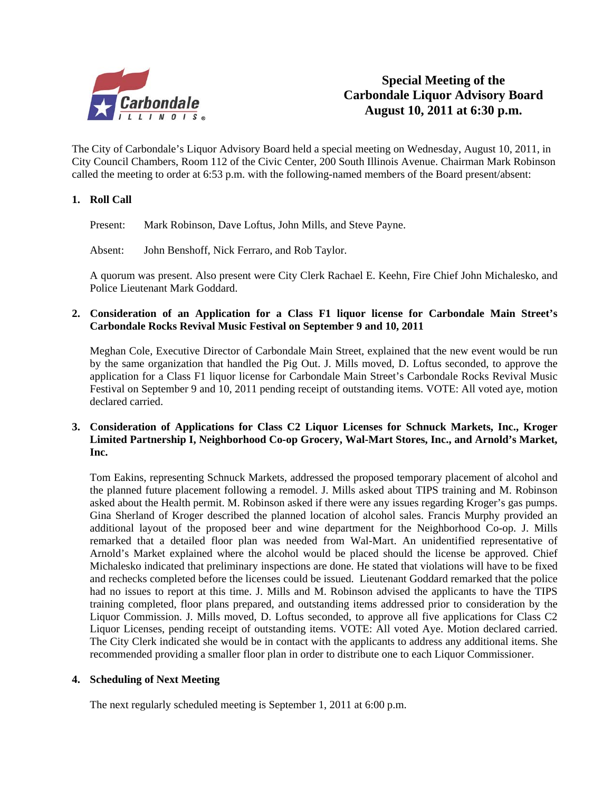

**Special Meeting of the Carbondale Liquor Advisory Board August 10, 2011 at 6:30 p.m.**

The City of Carbondale's Liquor Advisory Board held a special meeting on Wednesday, August 10, 2011, in City Council Chambers, Room 112 of the Civic Center, 200 South Illinois Avenue. Chairman Mark Robinson called the meeting to order at 6:53 p.m. with the following-named members of the Board present/absent:

#### **1. Roll Call**

Present: Mark Robinson, Dave Loftus, John Mills, and Steve Payne.

Absent: John Benshoff, Nick Ferraro, and Rob Taylor.

A quorum was present. Also present were City Clerk Rachael E. Keehn, Fire Chief John Michalesko, and Police Lieutenant Mark Goddard.

#### **2. Consideration of an Application for a Class F1 liquor license for Carbondale Main Street's Carbondale Rocks Revival Music Festival on September 9 and 10, 2011**

Meghan Cole, Executive Director of Carbondale Main Street, explained that the new event would be run by the same organization that handled the Pig Out. J. Mills moved, D. Loftus seconded, to approve the application for a Class F1 liquor license for Carbondale Main Street's Carbondale Rocks Revival Music Festival on September 9 and 10, 2011 pending receipt of outstanding items. VOTE: All voted aye, motion declared carried.

#### **3. Consideration of Applications for Class C2 Liquor Licenses for Schnuck Markets, Inc., Kroger Limited Partnership I, Neighborhood Co-op Grocery, Wal-Mart Stores, Inc., and Arnold's Market, Inc.**

Tom Eakins, representing Schnuck Markets, addressed the proposed temporary placement of alcohol and the planned future placement following a remodel. J. Mills asked about TIPS training and M. Robinson asked about the Health permit. M. Robinson asked if there were any issues regarding Kroger's gas pumps. Gina Sherland of Kroger described the planned location of alcohol sales. Francis Murphy provided an additional layout of the proposed beer and wine department for the Neighborhood Co-op. J. Mills remarked that a detailed floor plan was needed from Wal-Mart. An unidentified representative of Arnold's Market explained where the alcohol would be placed should the license be approved. Chief Michalesko indicated that preliminary inspections are done. He stated that violations will have to be fixed and rechecks completed before the licenses could be issued. Lieutenant Goddard remarked that the police had no issues to report at this time. J. Mills and M. Robinson advised the applicants to have the TIPS training completed, floor plans prepared, and outstanding items addressed prior to consideration by the Liquor Commission. J. Mills moved, D. Loftus seconded, to approve all five applications for Class C2 Liquor Licenses, pending receipt of outstanding items. VOTE: All voted Aye. Motion declared carried. The City Clerk indicated she would be in contact with the applicants to address any additional items. She recommended providing a smaller floor plan in order to distribute one to each Liquor Commissioner.

#### **4. Scheduling of Next Meeting**

The next regularly scheduled meeting is September 1, 2011 at 6:00 p.m.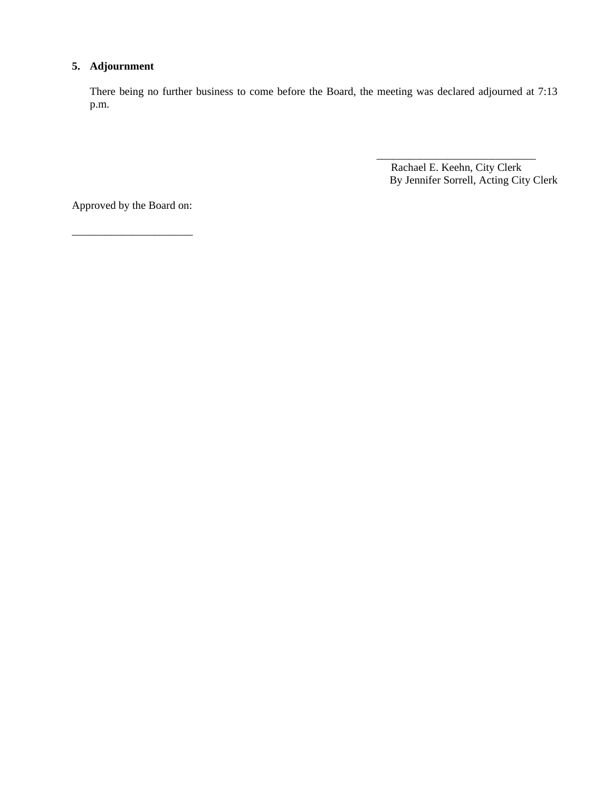### **5. Adjournment**

There being no further business to come before the Board, the meeting was declared adjourned at 7:13 p.m.

 $\overline{\phantom{a}}$  , and the contract of the contract of the contract of the contract of the contract of the contract of the contract of the contract of the contract of the contract of the contract of the contract of the contrac

 Rachael E. Keehn, City Clerk By Jennifer Sorrell, Acting City Clerk

Approved by the Board on:

\_\_\_\_\_\_\_\_\_\_\_\_\_\_\_\_\_\_\_\_\_\_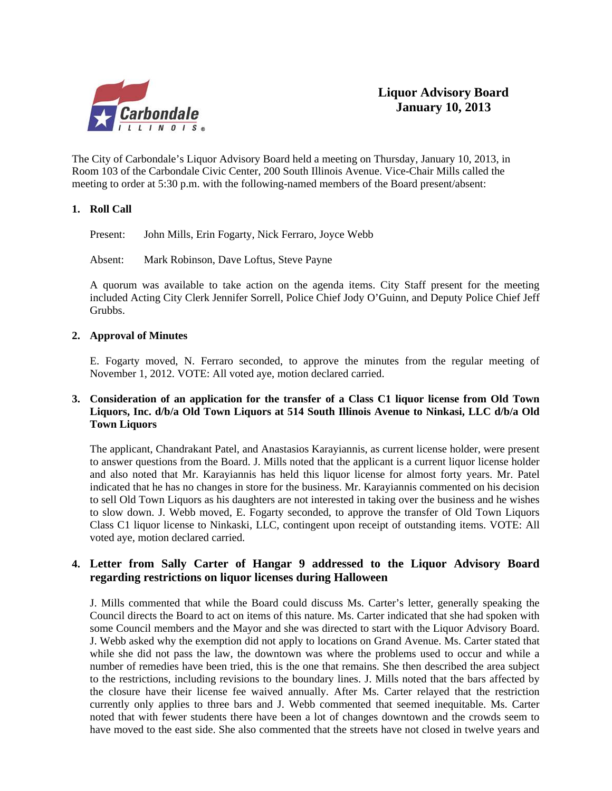

The City of Carbondale's Liquor Advisory Board held a meeting on Thursday, January 10, 2013, in Room 103 of the Carbondale Civic Center, 200 South Illinois Avenue. Vice-Chair Mills called the meeting to order at 5:30 p.m. with the following-named members of the Board present/absent:

#### **1. Roll Call**

Present: John Mills, Erin Fogarty, Nick Ferraro, Joyce Webb

Absent: Mark Robinson, Dave Loftus, Steve Payne

A quorum was available to take action on the agenda items. City Staff present for the meeting included Acting City Clerk Jennifer Sorrell, Police Chief Jody O'Guinn, and Deputy Police Chief Jeff Grubbs.

#### **2. Approval of Minutes**

E. Fogarty moved, N. Ferraro seconded, to approve the minutes from the regular meeting of November 1, 2012. VOTE: All voted aye, motion declared carried.

#### **3. Consideration of an application for the transfer of a Class C1 liquor license from Old Town Liquors, Inc. d/b/a Old Town Liquors at 514 South Illinois Avenue to Ninkasi, LLC d/b/a Old Town Liquors**

 The applicant, Chandrakant Patel, and Anastasios Karayiannis, as current license holder, were present to answer questions from the Board. J. Mills noted that the applicant is a current liquor license holder and also noted that Mr. Karayiannis has held this liquor license for almost forty years. Mr. Patel indicated that he has no changes in store for the business. Mr. Karayiannis commented on his decision to sell Old Town Liquors as his daughters are not interested in taking over the business and he wishes to slow down. J. Webb moved, E. Fogarty seconded, to approve the transfer of Old Town Liquors Class C1 liquor license to Ninkaski, LLC, contingent upon receipt of outstanding items. VOTE: All voted aye, motion declared carried.

### **4. Letter from Sally Carter of Hangar 9 addressed to the Liquor Advisory Board regarding restrictions on liquor licenses during Halloween**

J. Mills commented that while the Board could discuss Ms. Carter's letter, generally speaking the Council directs the Board to act on items of this nature. Ms. Carter indicated that she had spoken with some Council members and the Mayor and she was directed to start with the Liquor Advisory Board. J. Webb asked why the exemption did not apply to locations on Grand Avenue. Ms. Carter stated that while she did not pass the law, the downtown was where the problems used to occur and while a number of remedies have been tried, this is the one that remains. She then described the area subject to the restrictions, including revisions to the boundary lines. J. Mills noted that the bars affected by the closure have their license fee waived annually. After Ms. Carter relayed that the restriction currently only applies to three bars and J. Webb commented that seemed inequitable. Ms. Carter noted that with fewer students there have been a lot of changes downtown and the crowds seem to have moved to the east side. She also commented that the streets have not closed in twelve years and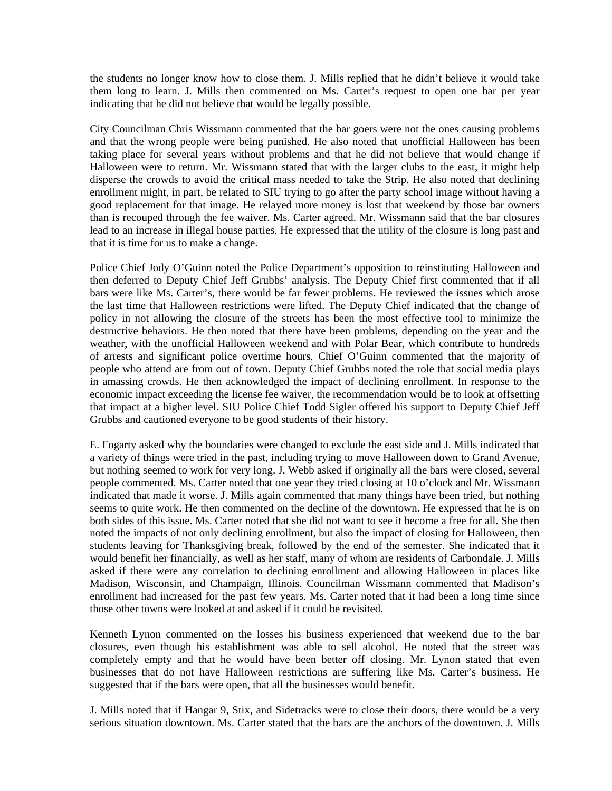the students no longer know how to close them. J. Mills replied that he didn't believe it would take them long to learn. J. Mills then commented on Ms. Carter's request to open one bar per year indicating that he did not believe that would be legally possible.

 City Councilman Chris Wissmann commented that the bar goers were not the ones causing problems and that the wrong people were being punished. He also noted that unofficial Halloween has been taking place for several years without problems and that he did not believe that would change if Halloween were to return. Mr. Wissmann stated that with the larger clubs to the east, it might help disperse the crowds to avoid the critical mass needed to take the Strip. He also noted that declining enrollment might, in part, be related to SIU trying to go after the party school image without having a good replacement for that image. He relayed more money is lost that weekend by those bar owners than is recouped through the fee waiver. Ms. Carter agreed. Mr. Wissmann said that the bar closures lead to an increase in illegal house parties. He expressed that the utility of the closure is long past and that it is time for us to make a change.

 Police Chief Jody O'Guinn noted the Police Department's opposition to reinstituting Halloween and then deferred to Deputy Chief Jeff Grubbs' analysis. The Deputy Chief first commented that if all bars were like Ms. Carter's, there would be far fewer problems. He reviewed the issues which arose the last time that Halloween restrictions were lifted. The Deputy Chief indicated that the change of policy in not allowing the closure of the streets has been the most effective tool to minimize the destructive behaviors. He then noted that there have been problems, depending on the year and the weather, with the unofficial Halloween weekend and with Polar Bear, which contribute to hundreds of arrests and significant police overtime hours. Chief O'Guinn commented that the majority of people who attend are from out of town. Deputy Chief Grubbs noted the role that social media plays in amassing crowds. He then acknowledged the impact of declining enrollment. In response to the economic impact exceeding the license fee waiver, the recommendation would be to look at offsetting that impact at a higher level. SIU Police Chief Todd Sigler offered his support to Deputy Chief Jeff Grubbs and cautioned everyone to be good students of their history.

 E. Fogarty asked why the boundaries were changed to exclude the east side and J. Mills indicated that a variety of things were tried in the past, including trying to move Halloween down to Grand Avenue, but nothing seemed to work for very long. J. Webb asked if originally all the bars were closed, several people commented. Ms. Carter noted that one year they tried closing at 10 o'clock and Mr. Wissmann indicated that made it worse. J. Mills again commented that many things have been tried, but nothing seems to quite work. He then commented on the decline of the downtown. He expressed that he is on both sides of this issue. Ms. Carter noted that she did not want to see it become a free for all. She then noted the impacts of not only declining enrollment, but also the impact of closing for Halloween, then students leaving for Thanksgiving break, followed by the end of the semester. She indicated that it would benefit her financially, as well as her staff, many of whom are residents of Carbondale. J. Mills asked if there were any correlation to declining enrollment and allowing Halloween in places like Madison, Wisconsin, and Champaign, Illinois. Councilman Wissmann commented that Madison's enrollment had increased for the past few years. Ms. Carter noted that it had been a long time since those other towns were looked at and asked if it could be revisited.

 Kenneth Lynon commented on the losses his business experienced that weekend due to the bar closures, even though his establishment was able to sell alcohol. He noted that the street was completely empty and that he would have been better off closing. Mr. Lynon stated that even businesses that do not have Halloween restrictions are suffering like Ms. Carter's business. He suggested that if the bars were open, that all the businesses would benefit.

 J. Mills noted that if Hangar 9, Stix, and Sidetracks were to close their doors, there would be a very serious situation downtown. Ms. Carter stated that the bars are the anchors of the downtown. J. Mills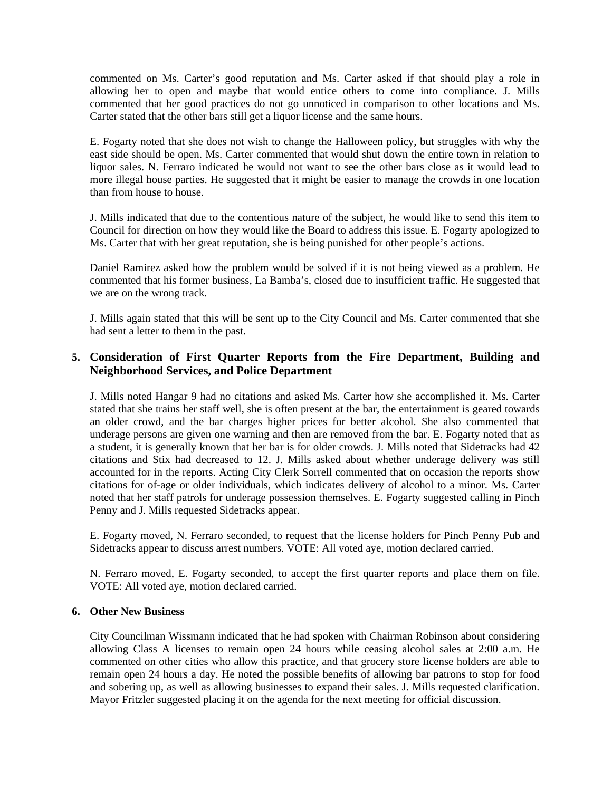commented on Ms. Carter's good reputation and Ms. Carter asked if that should play a role in allowing her to open and maybe that would entice others to come into compliance. J. Mills commented that her good practices do not go unnoticed in comparison to other locations and Ms. Carter stated that the other bars still get a liquor license and the same hours.

 E. Fogarty noted that she does not wish to change the Halloween policy, but struggles with why the east side should be open. Ms. Carter commented that would shut down the entire town in relation to liquor sales. N. Ferraro indicated he would not want to see the other bars close as it would lead to more illegal house parties. He suggested that it might be easier to manage the crowds in one location than from house to house.

 J. Mills indicated that due to the contentious nature of the subject, he would like to send this item to Council for direction on how they would like the Board to address this issue. E. Fogarty apologized to Ms. Carter that with her great reputation, she is being punished for other people's actions.

 Daniel Ramirez asked how the problem would be solved if it is not being viewed as a problem. He commented that his former business, La Bamba's, closed due to insufficient traffic. He suggested that we are on the wrong track.

 J. Mills again stated that this will be sent up to the City Council and Ms. Carter commented that she had sent a letter to them in the past.

### **5. Consideration of First Quarter Reports from the Fire Department, Building and Neighborhood Services, and Police Department**

 J. Mills noted Hangar 9 had no citations and asked Ms. Carter how she accomplished it. Ms. Carter stated that she trains her staff well, she is often present at the bar, the entertainment is geared towards an older crowd, and the bar charges higher prices for better alcohol. She also commented that underage persons are given one warning and then are removed from the bar. E. Fogarty noted that as a student, it is generally known that her bar is for older crowds. J. Mills noted that Sidetracks had 42 citations and Stix had decreased to 12. J. Mills asked about whether underage delivery was still accounted for in the reports. Acting City Clerk Sorrell commented that on occasion the reports show citations for of-age or older individuals, which indicates delivery of alcohol to a minor. Ms. Carter noted that her staff patrols for underage possession themselves. E. Fogarty suggested calling in Pinch Penny and J. Mills requested Sidetracks appear.

 E. Fogarty moved, N. Ferraro seconded, to request that the license holders for Pinch Penny Pub and Sidetracks appear to discuss arrest numbers. VOTE: All voted aye, motion declared carried.

 N. Ferraro moved, E. Fogarty seconded, to accept the first quarter reports and place them on file. VOTE: All voted aye, motion declared carried.

#### **6. Other New Business**

City Councilman Wissmann indicated that he had spoken with Chairman Robinson about considering allowing Class A licenses to remain open 24 hours while ceasing alcohol sales at 2:00 a.m. He commented on other cities who allow this practice, and that grocery store license holders are able to remain open 24 hours a day. He noted the possible benefits of allowing bar patrons to stop for food and sobering up, as well as allowing businesses to expand their sales. J. Mills requested clarification. Mayor Fritzler suggested placing it on the agenda for the next meeting for official discussion.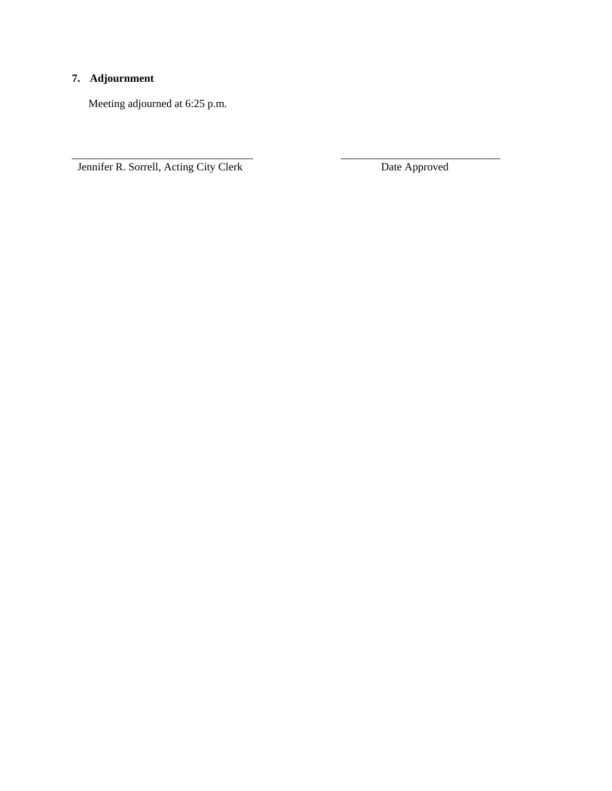### **7. Adjournment**

Meeting adjourned at 6:25 p.m.

Jennifer R. Sorrell, Acting City Clerk Date Approved

\_\_\_\_\_\_\_\_\_\_\_\_\_\_\_\_\_\_\_\_\_\_\_\_\_\_\_\_\_\_\_\_\_ \_\_\_\_\_\_\_\_\_\_\_\_\_\_\_\_\_\_\_\_\_\_\_\_\_\_\_\_\_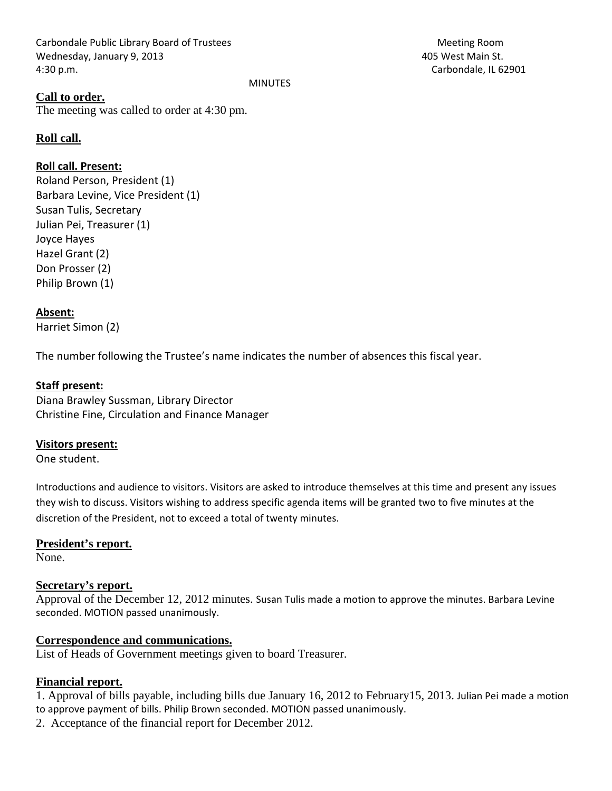Carbondale Public Library Board of Trustees Meeting Room Wednesday, January 9, 2013 405 West Main St. 4:30 p.m. Carbondale, IL 62901

#### MINUTES

### **Call to order.**

The meeting was called to order at 4:30 pm.

### **Roll call.**

### **Roll call. Present:**

Roland Person, President (1) Barbara Levine, Vice President (1) Susan Tulis, Secretary Julian Pei, Treasurer (1) Joyce Hayes Hazel Grant (2) Don Prosser (2) Philip Brown (1)

#### **Absent:**

Harriet Simon (2)

The number following the Trustee's name indicates the number of absences this fiscal year.

#### **Staff present:**

Diana Brawley Sussman, Library Director Christine Fine, Circulation and Finance Manager

#### **Visitors present:**

One student.

Introductions and audience to visitors. Visitors are asked to introduce themselves at this time and present any issues they wish to discuss. Visitors wishing to address specific agenda items will be granted two to five minutes at the discretion of the President, not to exceed a total of twenty minutes.

#### **President's report.**

None.

#### **Secretary's report.**

Approval of the December 12, 2012 minutes. Susan Tulis made a motion to approve the minutes. Barbara Levine seconded. MOTION passed unanimously.

#### **Correspondence and communications.**

List of Heads of Government meetings given to board Treasurer.

### **Financial report.**

1. Approval of bills payable, including bills due January 16, 2012 to February15, 2013. Julian Pei made a motion to approve payment of bills. Philip Brown seconded. MOTION passed unanimously.

2. Acceptance of the financial report for December 2012.